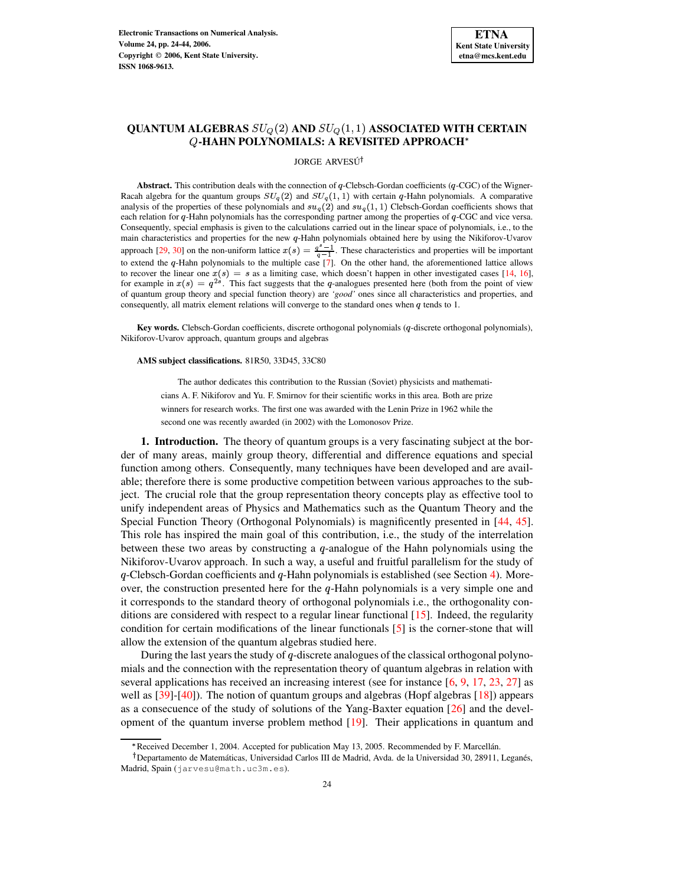# $\mathbf{QUANTUM\ ALGEBRAS\ } SU_{Q}(2) \ \mathbf{AND\ } SU_{Q}(1,1) \ \mathbf{ASSOCIATED\ WITH\ CERTAIN}$ **-HAHN POLYNOMIALS: A REVISITED APPROACH**

#### JORGE ARVESÚ<sup>†</sup>

**Abstract.** This contribution deals with the connection of  $q$ -Clebsch-Gordan coefficients ( $q$ -CGC) of the Wigner-Racah algebra for the quantum groups  $SU_q(2)$  and  $SU_q(1, 1)$  with certain q-Hahn polynomials. A comparative analysis of the properties of these polynomials and  $su_q(2)$  and  $su_q(1, 1)$  Clebsch-Gordan coefficients shows that each relation for  $q$ -Hahn polynomials has the corresponding partner among the properties of  $q$ -CGC and vice versa. Consequently, special emphasis is given to the calculations carried out in the linear space of polynomials, i.e., to the main characteristics and properties for the new  $q$ -Hahn polynomials obtained here by using the Nikiforov-Uvarov approach [\[29,](#page-20-0) [30\]](#page-20-1) on the non-uniform lattice  $x(s) = \frac{q-1}{q-1}$ . These characteristics and properties will be important to extend the q-Hahn polynomials to the multiple case [\[7\]](#page-19-0). On the other hand, the aforementioned lattice allows to recover the linear one  $x(s) = s$  as a limiting case, which doesn't happen in other investigated cases [\[14,](#page-19-1) [16\]](#page-19-2), for example in  $x(s) = q^{2s}$ . This fact suggests that the q-analogues presented here (both from the point of view of quantum group theory and special function theory) are *'good'* ones since all characteristics and properties, and consequently, all matrix element relations will converge to the standard ones when  $q$  tends to 1.

**Key words.** Clebsch-Gordan coefficients, discrete orthogonal polynomials (q-discrete orthogonal polynomials), Nikiforov-Uvarov approach, quantum groups and algebras

## **AMS subject classifications.** 81R50, 33D45, 33C80

The author dedicates this contribution to the Russian (Soviet) physicists and mathematicians A. F. Nikiforov and Yu. F. Smirnov for their scientific works in this area. Both are prize winners for research works. The first one was awarded with the Lenin Prize in 1962 while the second one was recently awarded (in 2002) with the Lomonosov Prize.

**1. Introduction.** The theory of quantum groups is a very fascinating subject at the border of many areas, mainly group theory, differential and difference equations and special function among others. Consequently, many techniques have been developed and are available; therefore there is some productive competition between various approaches to the subject. The crucial role that the group representation theory concepts play as effective tool to unify independent areas of Physics and Mathematics such as the Quantum Theory and the Special Function Theory (Orthogonal Polynomials) is magnificently presented in [\[44,](#page-20-2) [45\]](#page-20-3). This role has inspired the main goal of this contribution, i.e., the study of the interrelation between these two areas by constructing a  $q$ -analogue of the Hahn polynomials using the Nikiforov-Uvarov approach. In such a way, a useful and fruitful parallelism for the study of  $q$ -Clebsch-Gordan coefficients and  $q$ -Hahn polynomials is established (see Section [4\)](#page-7-0). Moreover, the construction presented here for the  $q$ -Hahn polynomials is a very simple one and it corresponds to the standard theory of orthogonal polynomials i.e., the orthogonality conditions are considered with respect to a regular linear functional [\[15\]](#page-19-3). Indeed, the regularity condition for certain modifications of the linear functionals [\[5\]](#page-19-4) is the corner-stone that will allow the extension of the quantum algebras studied here.

During the last years the study of  $q$ -discrete analogues of the classical orthogonal polynomials and the connection with the representation theory of quantum algebras in relation with several applications has received an increasing interest (see for instance [\[6,](#page-19-5) [9,](#page-19-6) [17,](#page-19-7) [23,](#page-19-8) [27\]](#page-20-4) as well as [\[39\]](#page-20-5)-[\[40\]](#page-20-6)). The notion of quantum groups and algebras (Hopf algebras [\[18\]](#page-19-9)) appears as a consecuence of the study of solutions of the Yang-Baxter equation [\[26\]](#page-20-7) and the development of the quantum inverse problem method  $[19]$ . Their applications in quantum and

<sup>&</sup>gt; Received December 1, 2004. Accepted for publication May 13, 2005. Recommended by F. Marcellan. ´

<sup>&</sup>lt;sup>†</sup> Departamento de Matemáticas, Universidad Carlos III de Madrid, Avda. de la Universidad 30, 28911, Leganés, Madrid, Spain (jarvesu@math.uc3m.es).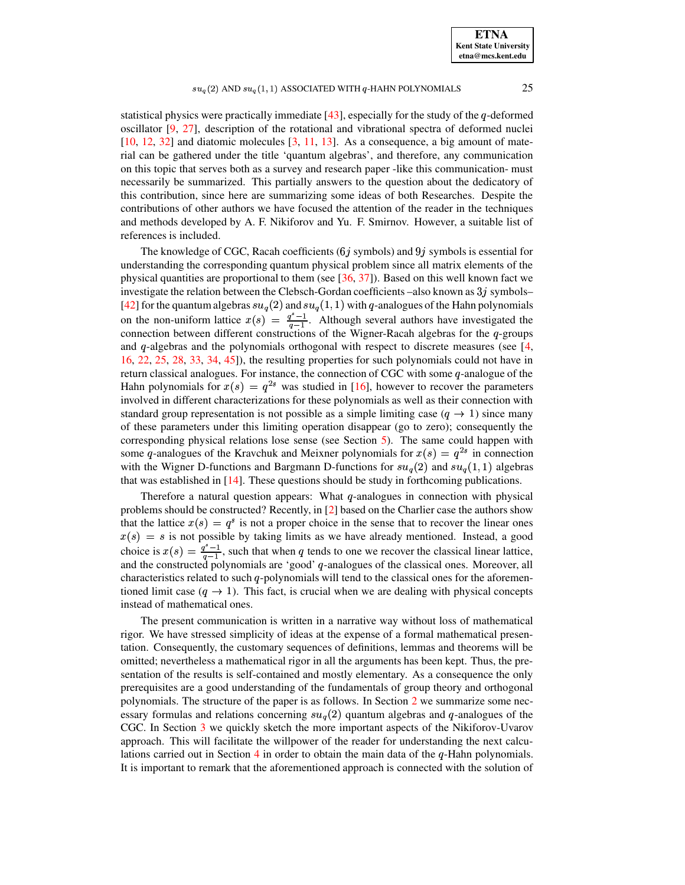**ETNA Kent State University etna@mcs.kent.edu**

# $su_q(2)$  and  $su_q(1,1)$  associated with  $q$ -hahn polynomials  $25$

statistical physics were practically immediate  $[43]$ , especially for the study of the  $q$ -deformed oscillator [\[9,](#page-19-6) [27\]](#page-20-4), description of the rotational and vibrational spectra of deformed nuclei  $[10, 12, 32]$  $[10, 12, 32]$  $[10, 12, 32]$  $[10, 12, 32]$  $[10, 12, 32]$  and diatomic molecules  $[3, 11, 13]$  $[3, 11, 13]$  $[3, 11, 13]$  $[3, 11, 13]$  $[3, 11, 13]$ . As a consequence, a big amount of material can be gathered under the title 'quantum algebras', and therefore, any communication on this topic that serves both as a survey and research paper -like this communication- must necessarily be summarized. This partially answers to the question about the dedicatory of this contribution, since here are summarizing some ideas of both Researches. Despite the contributions of other authors we have focused the attention of the reader in the techniques and methods developed by A. F. Nikiforov and Yu. F. Smirnov. However, a suitable list of references is included.

The knowledge of CGC, Racah coefficients ( $6j$  symbols) and  $9j$  symbols is essential for understanding the corresponding quantum physical problem since all matrix elements of the physical quantities are proportional to them (see [\[36,](#page-20-10) [37\]](#page-20-11)). Based on this well known fact we investigate the relation between the Clebsch-Gordan coefficients –also known as  $3j$  symbols– [\[42\]](#page-20-12) for the quantum algebras  $su_q(2)$  and  $su_q(1, 1)$  with q-analogues of the Hahn polynomials on the non-uniform lattice  $x(s) = \frac{q-1}{a-1}$ . Although several authors have investigated the connection between different constructions of the Wigner-Racah algebras for the  $q$ -groups and  $q$ -algebras and the polynomials orthogonal with respect to discrete measures (see [\[4,](#page-19-16) [16,](#page-19-2) [22,](#page-19-17) [25,](#page-20-13) [28,](#page-20-14) [33,](#page-20-15) [34,](#page-20-16) [45\]](#page-20-3)), the resulting properties for such polynomials could not have in return classical analogues. For instance, the connection of CGC with some  $q$ -analogue of the Hahn polynomials for  $x(s) = q^{2s}$  was studied in [\[16\]](#page-19-2), however to recover the parameters involved in different characterizations for these polynomials as well as their connection with standard group representation is not possible as a simple limiting case  $(q \to 1)$  since many of these parameters under this limiting operation disappear (go to zero); consequently the corresponding physical relations lose sense (see Section  $5$ ). The same could happen with some q-analogues of the Kravchuk and Meixner polynomials for  $x(s) = q^{2s}$  in connection with the Wigner D-functions and Bargmann D-functions for  $su_q(2)$  and  $su_q(1,1)$  algebras that was established in [\[14\]](#page-19-1). These questions should be study in forthcoming publications.

Therefore a natural question appears: What  $q$ -analogues in connection with physical problems should be constructed? Recently, in [\[2\]](#page-19-18) based on the Charlier case the authors show that the lattice  $x(s) = q^s$  is not a proper choice in the sense that to recover the linear ones  $x(s) = s$  is not possible by taking limits as we have already mentioned. Instead, a good choice is  $x(s) = \frac{q-1}{q-1}$ , such that when q tends to one we recover the classical linear lattice, and the constructed polynomials are 'good' q-analogues of the classical ones. Moreover, all characteristics related to such  $q$ -polynomials will tend to the classical ones for the aforementioned limit case  $(q \to 1)$ . This fact, is crucial when we are dealing with physical concepts instead of mathematical ones.

The present communication is written in a narrative way without loss of mathematical rigor. We have stressed simplicity of ideas at the expense of a formal mathematical presentation. Consequently, the customary sequences of definitions, lemmas and theorems will be omitted; nevertheless a mathematical rigor in all the arguments has been kept. Thus, the presentation of the results is self-contained and mostly elementary. As a consequence the only prerequisites are a good understanding of the fundamentals of group theory and orthogonal polynomials. The structure of the paper is as follows. In Section [2](#page-2-0) we summarize some necessary formulas and relations concerning  $su_q(2)$  quantum algebras and q-analogues of the CGC. In Section [3](#page-4-0) we quickly sketch the more important aspects of the Nikiforov-Uvarov approach. This will facilitate the willpower of the reader for understanding the next calcu-lations carried out in Section [4](#page-7-0) in order to obtain the main data of the  $q$ -Hahn polynomials. It is important to remark that the aforementioned approach is connected with the solution of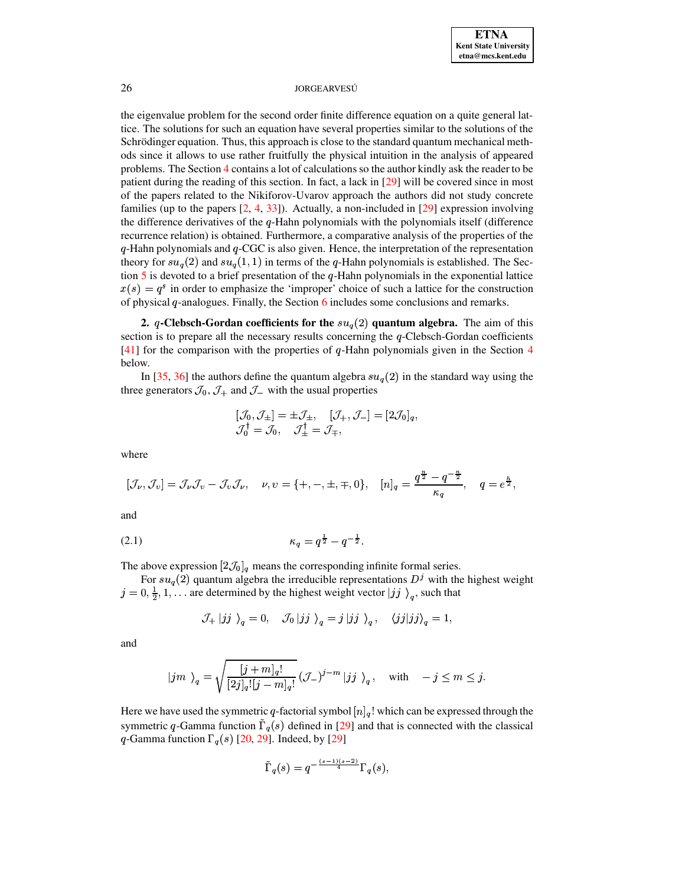the eigenvalue problem for the second order finite difference equation on a quite general lattice. The solutions for such an equation have several properties similar to the solutions of the Schrödinger equation. Thus, this approach is close to the standard quantum mechanical methods since it allows to use rather fruitfully the physical intuition in the analysis of appeared problems. The Section [4](#page-7-0) contains a lot of calculations so the author kindly ask the reader to be patient during the reading of this section. In fact, a lack in [\[29\]](#page-20-0) will be covered since in most of the papers related to the Nikiforov-Uvarov approach the authors did not study concrete families (up to the papers  $[2, 4, 33]$  $[2, 4, 33]$  $[2, 4, 33]$  $[2, 4, 33]$  $[2, 4, 33]$ ). Actually, a non-included in  $[29]$  expression involving the difference derivatives of the  $q$ -Hahn polynomials with the polynomials itself (difference recurrence relation) is obtained. Furthermore, a comparative analysis of the properties of the  $q$ -Hahn polynomials and  $q$ -CGC is also given. Hence, the interpretation of the representation theory for  $su_q(2)$  and  $su_q(1,1)$  in terms of the q-Hahn polynomials is established. The Section  $\overline{5}$  $\overline{5}$  $\overline{5}$  is devoted to a brief presentation of the q-Hahn polynomials in the exponential lattice  $x(s) = q^s$  in order to emphasize the 'improper' choice of such a lattice for the construction of physical  $q$ -analogues. Finally, the Section [6](#page-18-0) includes some conclusions and remarks.

<span id="page-2-0"></span>**2.**  $q$ -Clebsch-Gordan coefficients for the  $su_q(2)$  quantum algebra. The aim of this section is to prepare all the necessary results concerning the  $q$ -Clebsch-Gordan coefficients  $[41]$  for the comparison with the properties of q-Hahn polynomials given in the Section [4](#page-7-0) below.

In [\[35,](#page-20-18) [36\]](#page-20-10) the authors define the quantum algebra  $su_q(2)$  in the standard way using the three generators  $\mathcal{J}_0, \mathcal{J}_+$  and  $\mathcal{J}_-$  with the usual properties

$$
[\mathcal{J}_0, \mathcal{J}_\pm] = \pm \mathcal{J}_\pm, \quad [\mathcal{J}_+, \mathcal{J}_-] = [2\mathcal{J}_0]_q,
$$
  

$$
\mathcal{J}_0^\dagger = \mathcal{J}_0, \quad \mathcal{J}_\pm^\dagger = \mathcal{J}_\mp,
$$

where

$$
[\mathcal{J}_{\nu},\mathcal{J}_{\nu}]=\mathcal{J}_{\nu}\mathcal{J}_{\nu}-\mathcal{J}_{\nu}\mathcal{J}_{\nu},\quad \nu,\nu=\{+,-,\pm,\mp,0\},\quad [n]_q=\frac{q^{\frac{n}{2}}-q^{-\frac{n}{2}}}{\kappa_q},\quad q=e^{\frac{h}{2}},
$$

<span id="page-2-1"></span>and

$$
\kappa_q = q^{\frac{1}{2}} - q^{-\frac{1}{2}}.
$$

The above expression  $[2\mathcal{J}_0]_q$  means the corresponding infinite formal series.

For  $su_q(2)$  quantum algebra the irreducible representations  $D<sup>j</sup>$  with the highest weight  $j = 0, \frac{1}{2}, 1, \ldots$  are determined by the highest weight vector  $|jj\rangle_a$ , such that

$$
\mathcal{J}_{+} |jj \rangle_{q} = 0, \quad \mathcal{J}_{0} |jj \rangle_{q} = j |jj \rangle_{q}, \quad \langle jj|jj \rangle_{q} = 1,
$$

and

$$
\left|jm\ \right\rangle_q=\sqrt{\frac{[j+m]_q!}{[2j]_q![j-m]_q!}}\left({\mathcal{J}}_- \right)^{j-m}\left|jj\ \right\rangle_q,\quad\text{with}\quad -j\leq m\leq j.
$$

Here we have used the symmetric q-factorial symbol  $[n]_q$ ! which can be expressed through the symmetric q-Gamma function  $\Gamma_q(s)$  defined in [\[29\]](#page-20-0) and that is connected with the classical q-Gamma function  $\Gamma_q(s)$  [\[20,](#page-19-19) [29\]](#page-20-0). Indeed, by [\[29\]](#page-20-0)

$$
\tilde{\Gamma}_q(s)=q^{-\frac{(s-1)(s-2)}{4}}\Gamma_q(s),
$$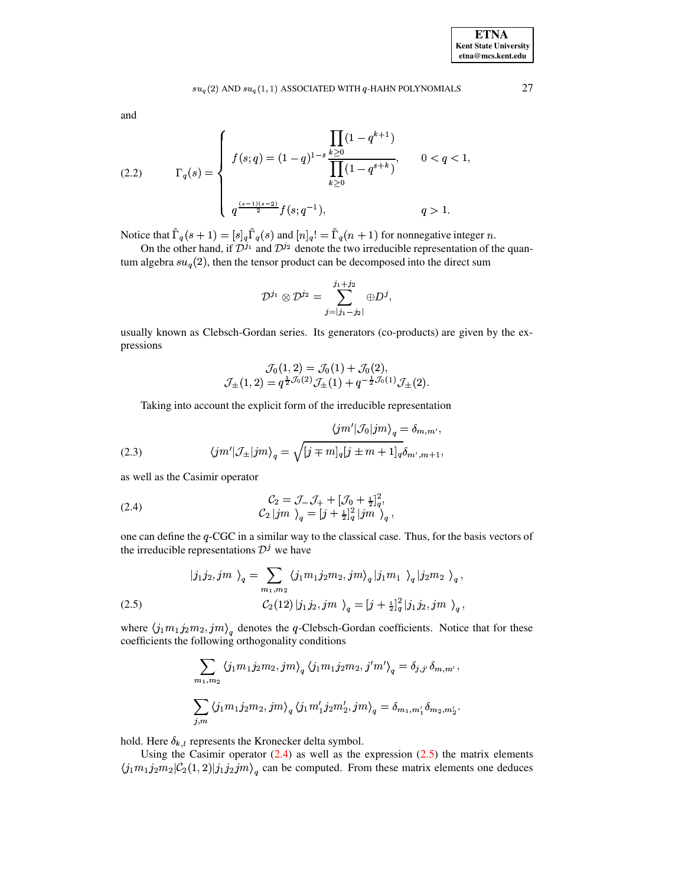# $su_q(2)$  and  $su_q(1,1)$  associated with  $q$ -hahn polynomials 27

<span id="page-3-3"></span>and

(2.2) 
$$
\Gamma_q(s) = \begin{cases} f(s;q) = (1-q)^{1-s} \frac{\prod\limits_{k \geq 0} (1-q^{k+1})}{\prod\limits_{k \geq 0} (1-q^{s+k})}, & 0 < q < 1, \\ q^{\frac{(s-1)(s-2)}{2}} f(s;q^{-1}), & q > 1. \end{cases}
$$

Notice that  $\tilde{\Gamma}_q(s+1) = [s]_q \tilde{\Gamma}_q(s)$  and  $[n]_q! = \tilde{\Gamma}_q(n+1)$  for nonnegative integer n.

On the other hand, if  $\mathcal{D}^{j_1}$  and  $\mathcal{D}^{j_2}$  denote the two irreducible representation of the quantum algebra  $su_q(2)$ , then the tensor product can be decomposed into the direct sum

$$
\mathcal{D}^{j_1}\otimes\mathcal{D}^{j_2}=\sum_{j=|j_1-j_2|}^{j_1+j_2}\oplus D^j,
$$

usually known as Clebsch-Gordan series. Its generators (co-products) are given by the expressions

<span id="page-3-2"></span>
$$
\mathcal{J}_0(1,2) = \mathcal{J}_0(1) + \mathcal{J}_0(2), \n\mathcal{J}_{\pm}(1,2) = q^{\frac{1}{2}\mathcal{J}_0(2)}\mathcal{J}_{\pm}(1) + q^{-\frac{1}{2}\mathcal{J}_0(1)}\mathcal{J}_{\pm}(2).
$$

Taking into account the explicit form of the irreducible representation

(2.3) 
$$
\langle jm'| \mathcal{J}_0 | jm \rangle_q = \delta_{m,m'},
$$

$$
\langle jm'| \mathcal{J}_{\pm} | jm \rangle_q = \sqrt{[j \mp m]_q [j \pm m + 1]_q} \delta_{m',m+1},
$$

<span id="page-3-0"></span>as well as the Casimir operator

(2.4) 
$$
\mathcal{C}_2 = \mathcal{J}_- \mathcal{J}_+ + [\mathcal{J}_0 + \frac{1}{2}]_q^2,
$$

$$
\mathcal{C}_2 |jm \rangle_q = [j + \frac{1}{2}]_q^2 |jm \rangle_q,
$$

one can define the  $q$ -CGC in a similar way to the classical case. Thus, for the basis vectors of the irreducible representations  $\mathcal{D}^j$  we have

<span id="page-3-1"></span>(2.5) 
$$
\ket{j_1 j_2, j m}_{q} = \sum_{m_1, m_2} \langle j_1 m_1 j_2 m_2, j m \rangle_q \ket{j_1 m_1}_{q} \ket{j_2 m_2}_{q},
$$

$$
\mathcal{C}_2(12) \ket{j_1 j_2, j m}_{q} = \left[j + \frac{1}{2} \right]_q^2 \ket{j_1 j_2, j m}_{q},
$$

where  $\langle j_1m_1j_2m_2, jm \rangle_q$  denotes the q-Clebsch-Gordan coefficients. Notice that for these coefficients the following orthogonality conditions

$$
\begin{array}{l}\displaystyle\sum_{m_1,m_2}\left\langle j_1m_1j_2m_2,jm\right\rangle_q\left\langle j_1m_1j_2m_2,j'm'\right\rangle_q=\delta_{j,j'}\delta_{m,m'},\\ \\ \displaystyle\sum_{j,m}\left\langle j_1m_1j_2m_2,jm\right\rangle_q\left\langle j_1m'_1j_2m'_2,jm\right\rangle_q=\delta_{m_1,m'_1}\delta_{m_2,m'_2}.\end{array}
$$

hold. Here  $\delta_{k,l}$  represents the Kronecker delta symbol.

Using the Casimir operator  $(2.4)$  as well as the expression  $(2.5)$  the matrix elements  $\langle j_1 m_1 j_2 m_2 | \mathcal{C}_2(1,2) | j_1 j_2 j m \rangle_q$  can be computed. From these matrix elements one deduces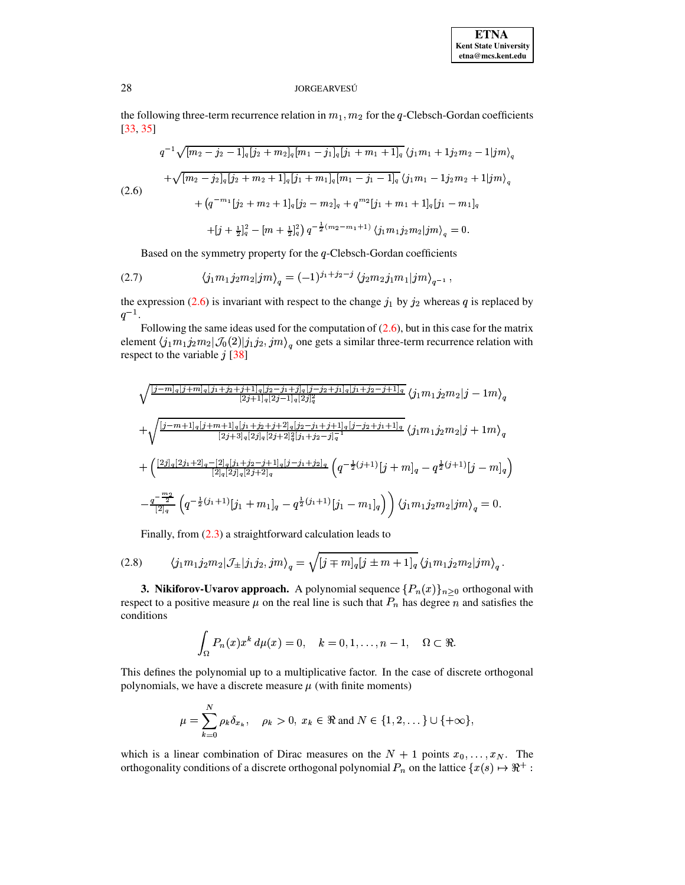<span id="page-4-1"></span>the following three-term recurrence relation in  $m_1$ ,  $m_2$  for the q-Clebsch-Gordan coefficients  $[33, 35]$ 

$$
q^{-1}\sqrt{[m_2 - j_2 - 1]_q[j_2 + m_2]_q[m_1 - j_1]_q[j_1 + m_1 + 1]_q}\langle j_1m_1 + 1j_2m_2 - 1|jm\rangle_q
$$
  
+
$$
\sqrt{[m_2 - j_2]_q[j_2 + m_2 + 1]_q[j_1 + m_1]_q[m_1 - j_1 - 1]_q}\langle j_1m_1 - 1j_2m_2 + 1|jm\rangle_q
$$
  
(2.6)  
+
$$
(q^{-m_1}[j_2 + m_2 + 1]_q[j_2 - m_2]_q + q^{m_2}[j_1 + m_1 + 1]_q[j_1 - m_1]_q
$$
  
+
$$
[j + \frac{1}{2}]_q^2 - [m + \frac{1}{2}]_q^2) q^{-\frac{1}{2}(m_2 - m_1 + 1)}\langle j_1m_1j_2m_2|jm\rangle_q = 0.
$$

<span id="page-4-2"></span>Based on the symmetry property for the  $q$ -Clebsch-Gordan coefficients

(2.7) 
$$
\langle j_1 m_1 j_2 m_2 | j m \rangle_q = (-1)^{j_1+j_2-j} \langle j_2 m_2 j_1 m_1 | j m \rangle_{q^{-1}},
$$

the expression (2.6) is invariant with respect to the change  $j_1$  by  $j_2$  whereas q is replaced by  $q^{-1}$ .

Following the same ideas used for the computation of  $(2.6)$ , but in this case for the matrix element  $\langle j_1m_1j_2m_2|\mathcal{J}_0(2)|j_1j_2,jm\rangle_q$  one gets a similar three-term recurrence relation with respect to the variable  $j$  [38]

$$
\sqrt{\frac{|j-m]_q[j+m]_q[j_1+j_2+j+1]_q[j_2-j_1+j]_q[j_2-j_2+j_1]_q[j_1+j_2-j+1]_q}{[2j+1]_q[2j-1]_q[2j]_q^2}} \langle j_1m_1j_2m_2|j-1m\rangle_q
$$
  
+
$$
\sqrt{\frac{|j-m+1]_q[j+m+1]_q[j_1+j_2+j+2]_q[j_2-j_1+j+1]_q[j-j_2+j_1+1]_q}{[2j+3]_q[2j]_q[2j+2]_q^2[j_1+j_2-j]_q^{-1}}} \langle j_1m_1j_2m_2|j+1m\rangle_q
$$
  
+
$$
\left(\frac{[2j]_q[2j_1+2]_q-[2]_q[j_1+j_2-j+1]_q[j-j_1+j_2]_q}{[2]_q[2j]_q[2j+2]_q}\left(q^{-\frac{1}{2}(j+1)}[j+m]_q-q^{\frac{1}{2}(j+1)}[j-m]_q\right)\right)
$$
  
-
$$
\frac{q^{-\frac{m_2}{2}}}{[2]_q}\left(q^{-\frac{1}{2}(j_1+1)}[j_1+m_1]_q-q^{\frac{1}{2}(j_1+1)}[j_1-m_1]_q\right)\right)\langle j_1m_1j_2m_2|jm\rangle_q=0.
$$

Finally, from  $(2.3)$  a straightforward calculation leads to

(2.8) 
$$
\langle j_1 m_1 j_2 m_2 | \mathcal{J}_{\pm} | j_1 j_2, j m \rangle_q = \sqrt{[j \mp m]_q [j \pm m + 1]_q \langle j_1 m_1 j_2 m_2 | j m \rangle_q}.
$$

<span id="page-4-0"></span>**3. Nikiforov-Uvarov approach.** A polynomial sequence  $\{P_n(x)\}_{n\geq 0}$  orthogonal with respect to a positive measure  $\mu$  on the real line is such that  $P_n$  has degree n and satisfies the conditions

<span id="page-4-3"></span>
$$
\int_{\Omega} P_n(x) x^k d\mu(x) = 0, \quad k = 0, 1, \dots, n-1, \quad \Omega \subset \Re.
$$

This defines the polynomial up to a multiplicative factor. In the case of discrete orthogonal polynomials, we have a discrete measure  $\mu$  (with finite moments)

$$
\mu = \sum_{k=0}^{N} \rho_k \delta_{x_k}, \quad \rho_k > 0, \ x_k \in \Re \text{ and } N \in \{1, 2, \dots\} \cup \{+\infty\}
$$

which is a linear combination of Dirac measures on the  $N + 1$  points  $x_0, \ldots, x_N$ . The orthogonality conditions of a discrete orthogonal polynomial  $P_n$  on the lattice  $\{x(s) \mapsto \Re^+ :$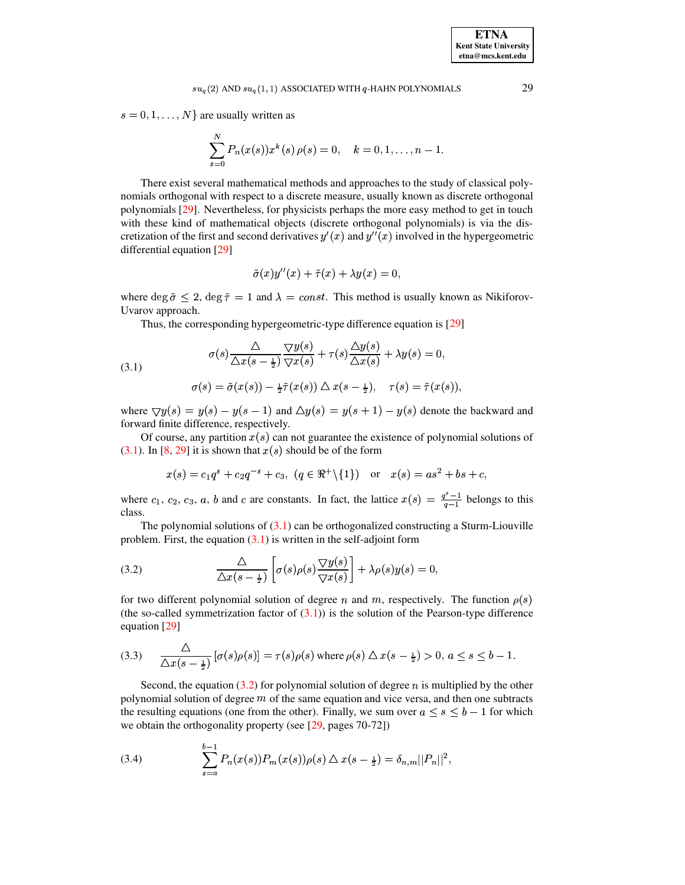# $su_q(2)$  and  $su_q(1,1)$  associated with  $q$ -hahn polynomials 29

 $s = 0, 1, \ldots, N$  are usually written as

$$
\sum_{s=0}^{N} P_n(x(s))x^k(s)\,\rho(s) = 0, \quad k = 0, 1, \ldots, n-1.
$$

There exist several mathematical methods and approaches to the study of classical polynomials orthogonal with respect to a discrete measure, usually known as discrete orthogonal polynomials [\[29\]](#page-20-0). Nevertheless, for physicists perhaps the more easy method to get in touch with these kind of mathematical objects (discrete orthogonal polynomials) is via the discretization of the first and second derivatives  $y'(x)$  and  $y''(x)$  involved in the hypergeometric differential equation [\[29\]](#page-20-0)

<span id="page-5-0"></span>
$$
\tilde{\sigma}(x)y''(x) + \tilde{\tau}(x) + \lambda y(x) = 0,
$$

where deg  $\tilde{\sigma} \leq 2$ , deg  $\tilde{\tau} = 1$  and  $\lambda = const$ . This method is usually known as Nikiforov-Uvarov approach.

Thus, the corresponding hypergeometric-type difference equation is [\[29\]](#page-20-0)

(3.1) 
$$
\sigma(s) \frac{\Delta}{\Delta x(s - \frac{1}{2})} \frac{\nabla y(s)}{\nabla x(s)} + \tau(s) \frac{\Delta y(s)}{\Delta x(s)} + \lambda y(s) = 0,
$$

$$
\sigma(s) = \tilde{\sigma}(x(s)) - \frac{1}{2}\tilde{\tau}(x(s)) \Delta x(s - \frac{1}{2}), \quad \tau(s) = \tilde{\tau}(x(s)),
$$

where  $\bigtriangledown y(s) = y(s) - y(s-1)$  and  $\bigtriangleup y(s) = y(s+1) - y(s)$  denote the backward and forward finite difference, respectively.

Of course, any partition  $x(s)$  can not guarantee the existence of polynomial solutions of  $(3.1)$ . In [\[8,](#page-19-20) [29\]](#page-20-0) it is shown that  $x(s)$  should be of the form

<span id="page-5-1"></span>
$$
x(s) = c_1 q^s + c_2 q^{-s} + c_3
$$
,  $(q \in \mathbb{R}^+\setminus\{1\})$  or  $x(s) = as^2 + bs + c$ ,

where  $c_1, c_2, c_3, a, b$  and c are constants. In fact, the lattice  $x(s) = \frac{q^2-1}{a-1}$  belongs to this class.

The polynomial solutions of  $(3.1)$  can be orthogonalized constructing a Sturm-Liouville problem. First, the equation  $(3.1)$  is written in the self-adjoint form

(3.2) 
$$
\frac{\Delta}{\Delta x(s-\frac{1}{2})}\left[\sigma(s)\rho(s)\frac{\nabla y(s)}{\nabla x(s)}\right] + \lambda \rho(s)y(s) = 0,
$$

for two different polynomial solution of degree n and m, respectively. The function  $\rho(s)$ (the so-called symmetrization factor of  $(3.1)$ ) is the solution of the Pearson-type difference equation [\[29\]](#page-20-0)

<span id="page-5-3"></span>
$$
(3.3) \qquad \frac{\triangle}{\triangle x (s-\frac{1}{2})} \left[ \sigma(s) \rho(s) \right] = \tau(s) \rho(s) \text{ where } \rho(s) \triangle x (s-\frac{1}{2}) > 0, \ a \le s \le b-1.
$$

Second, the equation  $(3.2)$  for polynomial solution of degree n is multiplied by the other polynomial solution of degree  $m$  of the same equation and vice versa, and then one subtracts the resulting equations (one from the other). Finally, we sum over  $a \leq s \leq b-1$  for which we obtain the orthogonality property (see [\[29,](#page-20-0) pages 70-72])

<span id="page-5-2"></span>(3.4) 
$$
\sum_{s=a}^{b-1} P_n(x(s)) P_m(x(s)) \rho(s) \Delta x(s-\frac{1}{2}) = \delta_{n,m} ||P_n||^2,
$$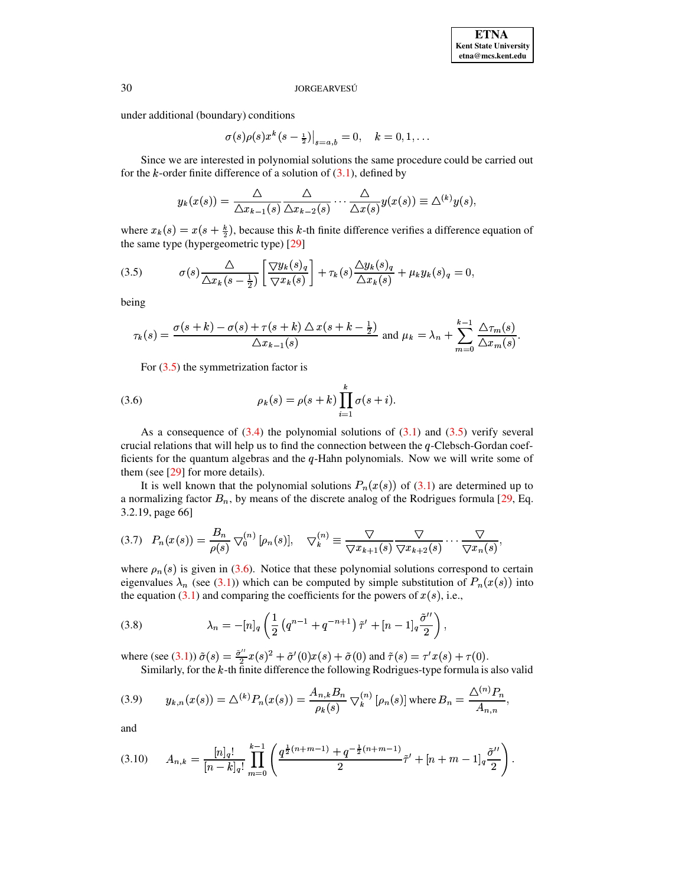under additional (boundary) conditions

$$
\sigma(s)\rho(s)x^{k}(s-\frac{1}{2})\big|_{s=a,b}=0, \quad k=0,1,\ldots
$$

 $\sigma(s)\rho(s)x^{k}(s-\frac{1}{2})\big|_{s=a,b}=0, \quad k=0,1,\ldots$ <br>Since we are interested in polynomial solutions the same procedure could be carried out for the *k*-order finite difference of a solution of  $(3.1)$ , defined by

<span id="page-6-0"></span>
$$
y_k(x(s)) = \frac{\triangle}{\triangle x_{k-1}(s)} \frac{\triangle}{\triangle x_{k-2}(s)} \cdots \frac{\triangle}{\triangle x(s)} y(x(s)) \equiv \triangle^{(k)} y(s),
$$

where  $x_k(s) = x(s + \frac{k}{2})$ , because this k-th finite difference verifies a difference equation of the same type (hypergeometric type) [\[29\]](#page-20-0)

(3.5) 
$$
\sigma(s) \frac{\Delta}{\Delta x_k(s-\frac{1}{2})} \left[ \frac{\nabla y_k(s)_q}{\nabla x_k(s)} \right] + \tau_k(s) \frac{\Delta y_k(s)_q}{\Delta x_k(s)} + \mu_k y_k(s)_q = 0,
$$

being

$$
\tau_k(s) = \frac{\sigma(s+k) - \sigma(s) + \tau(s+k) \Delta x(s+k-\frac{1}{2})}{\Delta x_{k-1}(s)} \text{ and } \mu_k = \lambda_n + \sum_{m=0}^{k-1} \frac{\Delta \tau_m(s)}{\Delta x_m(s)}.
$$

<span id="page-6-1"></span>For  $(3.5)$  the symmetrization factor is

(3.6) 
$$
\rho_k(s) = \rho(s+k) \prod_{i=1}^k \sigma(s+i).
$$

As a consequence of  $(3.4)$  the polynomial solutions of  $(3.1)$  and  $(3.5)$  verify several crucial relations that will help us to find the connection between the  $q$ -Clebsch-Gordan coefficients for the quantum algebras and the  $q$ -Hahn polynomials. Now we will write some of them (see [\[29\]](#page-20-0) for more details).

It is well known that the polynomial solutions  $P_n(x(s))$  of [\(3.1\)](#page-5-0) are determined up to a normalizing factor  $B_n$ , by means of the discrete analog of the Rodrigues formula [\[29,](#page-20-0) Eq. 3.2.19, page 66]

<span id="page-6-2"></span>
$$
(3.7) \quad P_n(x(s)) = \frac{B_n}{\rho(s)} \nabla_0^{(n)} [\rho_n(s)], \quad \nabla_k^{(n)} \equiv \frac{\nabla}{\nabla x_{k+1}(s)} \frac{\nabla}{\nabla x_{k+2}(s)} \cdots \frac{\nabla}{\nabla x_n(s)},
$$

where  $\rho_n(s)$  is given in [\(3.6\)](#page-6-1). Notice that these polynomial solutions correspond to certain eigenvalues  $\lambda_n$  (see [\(3.1\)](#page-5-0)) which can be computed by simple substitution of  $P_n(x(s))$  into the equation [\(3.1\)](#page-5-0) and comparing the coefficients for the powers of  $x(s)$ , i.e.,

<span id="page-6-3"></span>(3.8) 
$$
\lambda_n = -[n]_q \left( \frac{1}{2} \left( q^{n-1} + q^{-n+1} \right) \tilde{\tau}' + [n-1]_q \frac{\tilde{\sigma}''}{2} \right),
$$

<span id="page-6-4"></span>where (see [\(3.1\)](#page-5-0))  $\tilde{\sigma}(s) = \frac{\tilde{\sigma}''}{2}x(s)^2 + \tilde{\sigma}'(0)x(s) + \tilde{\sigma}(0)$  and  $\tilde{\tau}(s) = \tau'x(s) + \tau(0)$ . re (see (3.1))  $\tilde{\sigma}(s) = \frac{\tilde{\sigma}^2}{2}x(s)^2 + \tilde{\sigma}'(0)x(s) + \tilde{\sigma}(0)$  and  $\tilde{\tau}(s) = \tau'x(s) + \tau(0)$ .<br>Similarly, for the *k*-th finite difference the following Rodrigues-type formula is also valid

(3.9) 
$$
y_{k,n}(x(s)) = \Delta^{(k)} P_n(x(s)) = \frac{A_{n,k}B_n}{\rho_k(s)} \nabla_k^{(n)} [\rho_n(s)] \text{ where } B_n = \frac{\Delta^{(n)} P_n}{A_{n,n}},
$$

<span id="page-6-5"></span>and

$$
(3.10) \t A_{n,k} = \frac{[n]_q!}{[n-k]_q!} \prod_{m=0}^{k-1} \left( \frac{q^{\frac{1}{2}(n+m-1)} + q^{-\frac{1}{2}(n+m-1)}}{2} \tilde{\tau}' + [n+m-1]_q \frac{\tilde{\sigma}''}{2} \right).
$$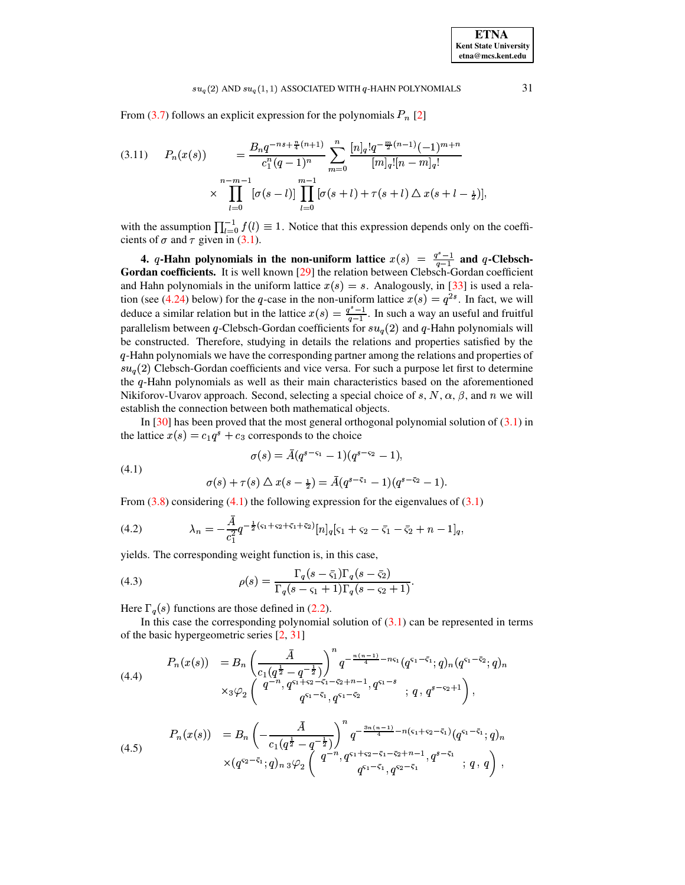### $su_q(2)$  AND  $su_q(1, 1)$  ASSOCIATED WITH  $q$ -HAHN POLYNOMIALS

From (3.7) follows an explicit expression for the polynomials  $P_n$  [2]

<span id="page-7-5"></span>
$$
(3.11) \quad P_n(x(s)) = \frac{B_n q^{-ns + \frac{n}{4}(n+1)}}{c_1^n (q-1)^n} \sum_{m=0}^n \frac{[n]_q! q^{-\frac{m}{2}(n-1)} (-1)^{m+n}}{[m]_q! [n-m]_q!} \times \prod_{l=0}^{n-m-1} [\sigma(s-l)] \prod_{l=0}^{m-1} [\sigma(s+l) + \tau(s+l) \triangle x(s+l-\frac{1}{2})],
$$

with the assumption  $\prod_{l=0}^{-1} f(l) \equiv 1$ . Notice that this expression depends only on the coefficients of  $\sigma$  and  $\tau$  given in (3.1).

<span id="page-7-0"></span>4. *q*-Hahn polynomials in the non-uniform lattice  $x(s) = \frac{q^s - 1}{q - 1}$  and *q*-Clebsch-Gordan coefficients. It is well known [29] the relation between Clebsch-Gordan coefficient and Hahn polynomials in the uniform lattice  $x(s) = s$ . Analogously, in [33] is used a relation (see (4.24) below) for the q-case in the non-uniform lattice  $x(s) = q^{2s}$ . In fact, we will deduce a similar relation but in the lattice  $x(s) = \frac{q^s - 1}{q - 1}$ . In such a way an useful and fruitful parallelism between q-Clebsch-Gordan coefficients for  $su_q(2)$  and q-Hahn polynomials will be constructed. Therefore, studying in details the relations and properties satisfied by the q-Hahn polynomials we have the corresponding partner among the relations and properties of  $su_q(2)$  Clebsch-Gordan coefficients and vice versa. For such a purpose let first to determine the q-Hahn polynomials as well as their main characteristics based on the aforementioned Nikiforov-Uvarov approach. Second, selecting a special choice of s, N,  $\alpha$ ,  $\beta$ , and n we will establish the connection between both mathematical objects.

In [30] has been proved that the most general orthogonal polynomial solution of  $(3.1)$  in the lattice  $x(s) = c_1 q^s + c_3$  corresponds to the choice

<span id="page-7-2"></span><span id="page-7-1"></span>
$$
\sigma(s)=\bar{A}(q^{s-\varsigma_1}-1)(q^{s-\varsigma_2}-1),
$$

<span id="page-7-3"></span>
$$
\sigma(s) + \tau(s) \bigtriangleup x(s - \frac{1}{2}) = \bar{A}(q^{s-5} - 1)(q^{s-5} - 1).
$$

From  $(3.8)$  considering  $(4.1)$  the following expression for the eigenvalues of  $(3.1)$ 

(4.2) 
$$
\lambda_n = -\frac{A}{c_1^2} q^{-\frac{1}{2}(\varsigma_1 + \varsigma_2 + \varsigma_1 + \varsigma_2)} [n]_q [\varsigma_1 + \varsigma_2 - \bar{\varsigma}_1 - \bar{\varsigma}_2 + n - 1]_q,
$$

yields. The corresponding weight function is, in this case,

(4.3) 
$$
\rho(s) = \frac{\Gamma_q(s-\bar{s}_1)\Gamma_q(s-\bar{s}_2)}{\Gamma_q(s-\bar{s}_1+1)\Gamma_q(s-\bar{s}_2+1)}
$$

Here  $\Gamma_q(s)$  functions are those defined in (2.2).

 $(4.1)$ 

<span id="page-7-6"></span>In this case the corresponding polynomial solution of  $(3.1)$  can be represented in terms of the basic hypergeometric series [2, 31]

$$
(4.4) \qquad P_n(x(s)) = B_n \left( \frac{\bar{A}}{c_1(q^{\frac{1}{2}} - q^{-\frac{1}{2}})} \right)^n q^{-\frac{n(n-1)}{4} - n\varsigma_1} (q^{\varsigma_1 - \bar{\varsigma}_1}; q)_n (q^{\varsigma_1 - \bar{\varsigma}_2}; q)_n
$$
\n
$$
\times_3 \varphi_2 \left( \frac{q^{-n}, q^{\varsigma_1 + \varsigma_2 - \bar{\varsigma}_1 - \bar{\varsigma}_2 + n - 1}, q^{\varsigma_1 - s}}{q^{\varsigma_1 - \bar{\varsigma}_1}, q^{\varsigma_1 - \bar{\varsigma}_2}} ; q, q^{s - \varsigma_2 + 1} \right),
$$

<span id="page-7-4"></span>
$$
(4.5) \qquad P_n(x(s)) = B_n \left( -\frac{\bar{A}}{c_1 (q^{\frac{1}{2}} - q^{-\frac{1}{2}})} \right)^n q^{-\frac{3n(n-1)}{4} - n(\varsigma_1 + \varsigma_2 - \bar{\varsigma}_1)} (q^{\varsigma_1 - \bar{\varsigma}_1}; q)_n
$$
\n
$$
\times (q^{\varsigma_2 - \bar{\varsigma}_1}; q)_{n} 3\varphi_2 \left( q^{-n}, q^{\varsigma_1 + \varsigma_2 - \bar{\varsigma}_1 - \bar{\varsigma}_2 + n - 1}, q^{s - \bar{\varsigma}_1}; q, q \right),
$$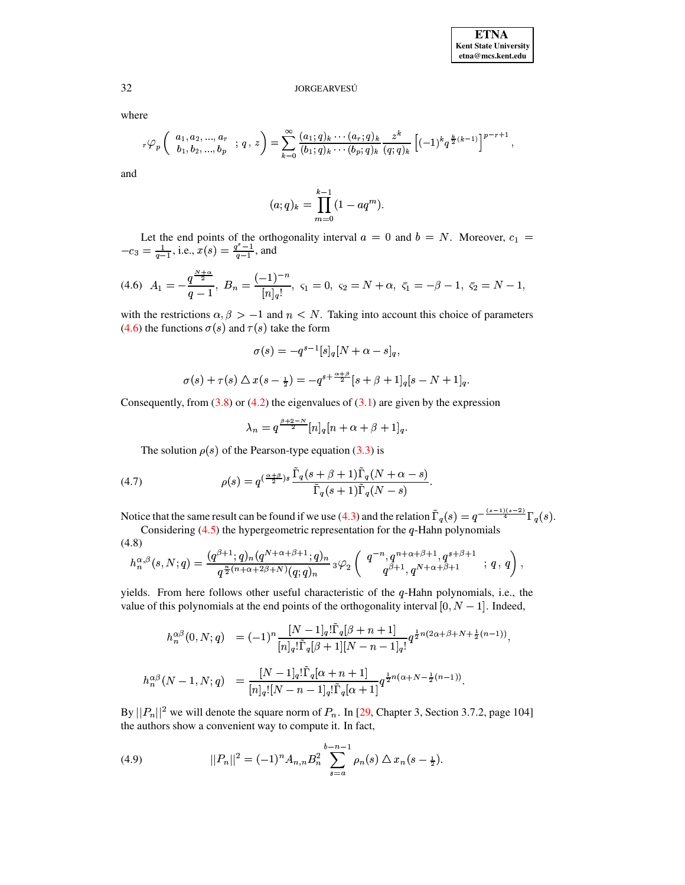where

$$
{}_{r}\varphi_{p}\left(\begin{array}{c} a_{1}, a_{2}, \ldots, a_{r} \\ b_{1}, b_{2}, \ldots, b_{p} \end{array} ; q, z\right) = \sum_{k=0}^{\infty} \frac{(a_{1}; q)_{k} \cdots (a_{r}; q)_{k}}{(b_{1}; q)_{k} \cdots (b_{p}; q)_{k}} \frac{z^{k}}{(q; q)_{k}} \left[(-1)^{k} q^{\frac{k}{2}(k-1)}\right]^{p-r+1}
$$

and

$$
(a;q)_k = \prod_{m=0}^{k-1} (1 - aq^m)
$$

<span id="page-8-0"></span>Let the end points of the orthogonality interval  $a = 0$  and  $b = N$ . Moreover,  $c_1 = -c_3 = \frac{1}{q-1}$ , i.e.,  $x(s) = \frac{q^s-1}{q-1}$ , and

$$
(4.6) \ A_1=-\frac{q^{\frac{N+\alpha}{2}}}{q-1}, \ B_n=\frac{(-1)^{-n}}{[n]_q!}, \ \varsigma_1=0, \ \varsigma_2=N+\alpha, \ \bar{\varsigma}_1=-\beta-1, \ \bar{\varsigma}_2=N-1,
$$

with the restrictions  $\alpha, \beta > -1$  and  $n < N$ . Taking into account this choice of parameters (4.6) the functions  $\sigma(s)$  and  $\tau(s)$  take the form

$$
\sigma(s) = -q^{s-1}[s]_q[N+\alpha-s]_q,
$$
  

$$
\sigma(s) + \tau(s) \triangle x(s-\frac{1}{2}) = -q^{s+\frac{\alpha+\beta}{2}}[s+\beta+1]_q[s-N+1]_q.
$$

Consequently, from  $(3.8)$  or  $(4.2)$  the eigenvalues of  $(3.1)$  are given by the expression

<span id="page-8-3"></span>
$$
\lambda_n = q^{\frac{\beta+2-N}{2}} [n]_q [n+\alpha+\beta+1]_q.
$$

The solution  $\rho(s)$  of the Pearson-type equation (3.3) is

<span id="page-8-2"></span>(4.7) 
$$
\rho(s) = q^{\left(\frac{\alpha+\beta}{2}\right)s} \frac{\tilde{\Gamma}_q(s+\beta+1)\tilde{\Gamma}_q(N+\alpha-s)}{\tilde{\Gamma}_q(s+1)\tilde{\Gamma}_q(N-s)}
$$

Notice that the same result can be found if we use (4.3) and the relation  $\tilde{\Gamma}_q(s) = q^{-\frac{(s-1)(s-2)}{4}} \Gamma_q(s)$ . Considering  $(4.5)$  the hypergeometric representation for the q-Hahn polynomials

$$
h_n^{\alpha,\beta}(s, N; q) = \frac{(q^{\beta+1}; q)_n (q^{N+\alpha+\beta+1}; q)_n}{q^{\frac{n}{2}(n+\alpha+2\beta+N)}(q; q)_n} {}_3\varphi_2 \left( \begin{array}{c} q^{-n}, q^{n+\alpha+\beta+1}, q^{s+\beta+1} \\ q^{\beta+1}, q^{N+\alpha+\beta+1} \end{array} ; q, q \right),
$$

yields. From here follows other useful characteristic of the  $q$ -Hahn polynomials, i.e., the value of this polynomials at the end points of the orthogonality interval [0,  $N-1$ ]. Indeed,

$$
\begin{array}{rcl} h_n^{\alpha\beta}(0,N;q) & = (-1)^n\frac{[N-1]_q! \tilde{\Gamma}_q[\beta+n+1]}{[n]_q! \tilde{\Gamma}_q[\beta+1][N-n-1]_q!} q^{\frac{1}{2}n(2\alpha+\beta+N+\frac{1}{2}(n-1))},\\ \\ h_n^{\alpha\beta}(N-1,N;q) & = \frac{[N-1]_q! \tilde{\Gamma}_q[\alpha+n+1]}{[n]_q! [N-n-1]_q! \tilde{\Gamma}_q[\alpha+1]} q^{\frac{1}{2}n(\alpha+N-\frac{1}{2}(n-1))}. \end{array}
$$

By  $||P_n||^2$  we will denote the square norm of  $P_n$ . In [29, Chapter 3, Section 3.7.2, page 104] the authors show a convenient way to compute it. In fact,

<span id="page-8-1"></span>(4.9) 
$$
||P_n||^2 = (-1)^n A_{n,n} B_n^2 \sum_{s=a}^{b-n-1} \rho_n(s) \Delta x_n(s - \frac{1}{2})
$$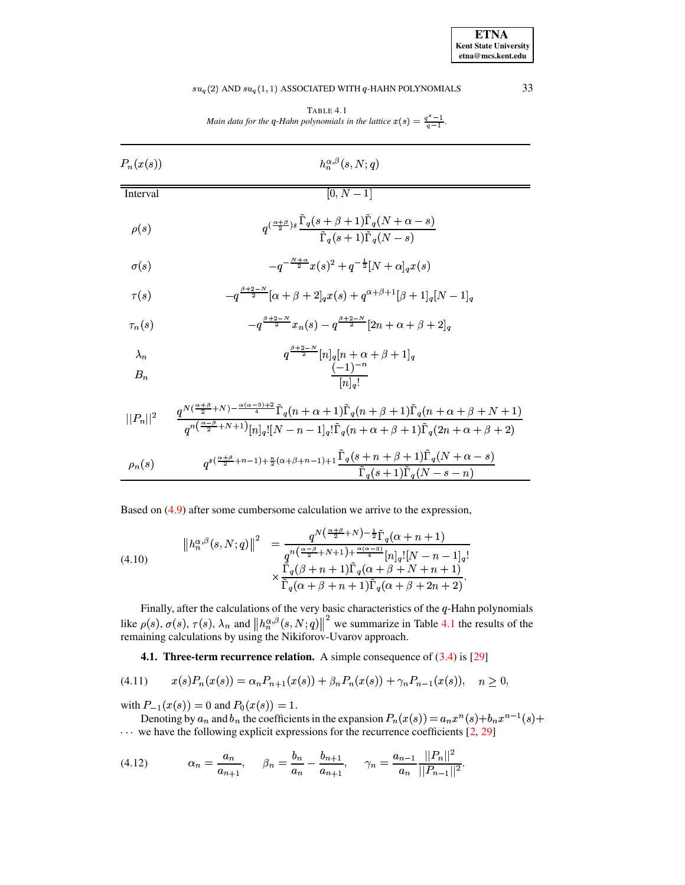### $su_q(2)$  AND  $su_q(1, 1)$  ASSOCIATED WITH  $q$ -HAHN POLYNOMIALS

TABLE 4.1 Main data for the q-Hahn polynomials in the lattice  $x(s) = \frac{q^s - 1}{q - 1}$ .

<span id="page-9-0"></span>

| $P_n(x(s))$          | $h_n^{\alpha,\beta}(s,N;q)$                                                                                                                                                |
|----------------------|----------------------------------------------------------------------------------------------------------------------------------------------------------------------------|
| Interval             | $[0, N - 1]$                                                                                                                                                               |
| $\rho(s)$            | $q^{(\frac{\alpha+\beta}{2})s}\frac{\Gamma_q(s+\beta+1)\Gamma_q(N+\alpha-s)}{\tilde{\Gamma}_q(s+1)\tilde{\Gamma}_q(N-s)}$                                                  |
| $\sigma(s)$          | $-q^{-\frac{N+\alpha}{2}}x(s)^2+q^{-\frac{1}{2}}[N+\alpha]_a x(s)$                                                                                                         |
| $\tau(s)$            | $-q^{\frac{\beta+2-N}{2}}[\alpha+\beta+2]_a x(s)+q^{\alpha+\beta+1}[\beta+1]_a[N-1]_a$                                                                                     |
| $\tau_n(s)$          | $-a^{\frac{\beta+2-N}{2}}x_n(s) - a^{\frac{\beta+2-N}{2}}[2n+\alpha+\beta+2]_q$                                                                                            |
| $\lambda_n$<br>$B_n$ | $q^{\frac{\beta+2-N}{2}}[n]_q[n+\alpha+\beta+1]_q$<br>$\frac{(-1)^{-n}}{[n]_a!}$                                                                                           |
|                      | $\overline{{_{q^n}}}(\frac{\alpha-\beta}{2}+N+1)\lceil n \rceil_a \lceil N - n - 1 \rceil_a \lceil \tilde{\Gamma}_q(n+\alpha+\beta+1) \tilde{\Gamma}_q(2n+\alpha+\beta+2)$ |

$$
\rho_n(s) \qquad q^{s(\frac{\alpha+\beta}{2}+n-1)+\frac{n}{2}(\alpha+\beta+n-1)+1} \frac{\tilde{\Gamma}_q(s+n+\beta+1)\tilde{\Gamma}_q(N+\alpha-s)}{\tilde{\Gamma}_q(s+1)\tilde{\Gamma}_q(N-s-n)}
$$

<span id="page-9-3"></span>Based on  $(4.9)$  after some cumbersome calculation we arrive to the expression,

(4.10) 
$$
\|h_n^{\alpha,\beta}(s,N;q)\|^2 = \frac{q^{N(\frac{\alpha+\beta}{2}+N)-\frac{1}{2}}\tilde{\Gamma}_q(\alpha+n+1)}{q^{n(\frac{\alpha-\beta}{2}+N+1)+\frac{\alpha(\alpha-3)}{4}}[n]_q![N-n-1]_q!}{\times \frac{\tilde{\Gamma}_q(\beta+n+1)\tilde{\Gamma}_q(\alpha+\beta+N+n+1)}{\tilde{\Gamma}_q(\alpha+\beta+n+1)\tilde{\Gamma}_q(\alpha+\beta+2n+2)}}.
$$

Finally, after the calculations of the very basic characteristics of the q-Hahn polynomials like  $\rho(s)$ ,  $\sigma(s)$ ,  $\tau(s)$ ,  $\lambda_n$  and  $||h_n^{\alpha,\beta}(s, N; q)||^2$  we summarize in Table 4.1 the results of the remaining calculations by

<span id="page-9-2"></span><span id="page-9-1"></span>**4.1. Three-term recurrence relation.** A simple consequence of  $(3.4)$  is  $[29]$ 

$$
(4.11) \t x(s)P_n(x(s)) = \alpha_n P_{n+1}(x(s)) + \beta_n P_n(x(s)) + \gamma_n P_{n-1}(x(s)), \quad n \ge 0,
$$

with  $P_{-1}(x(s)) = 0$  and  $P_0(x(s)) = 1$ .

Denoting by  $a_n$  and  $b_n$  the coefficients in the expansion  $P_n(x(s)) = a_n x^n(s) + b_n x^{n-1}(s) +$  $\cdots$  we have the following explicit expressions for the recurrence coefficients [2, 29]

$$
(4.12) \t\t\t  $\alpha_n = \frac{a_n}{a_{n+1}}, \quad \beta_n = \frac{b_n}{a_n} - \frac{b_{n+1}}{a_{n+1}}, \quad \gamma_n = \frac{a_{n-1}}{a_n} \frac{||P_n||^2}{||P_{n-1}||^2}.$
$$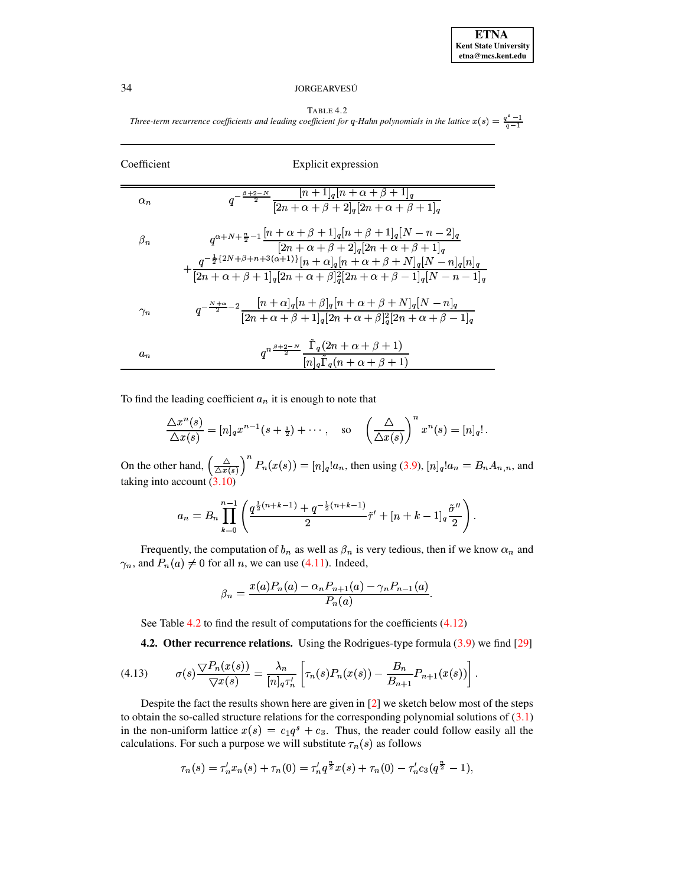TABLE 4.2 *Three-term recurrence coefficients* and *leading coefficient* for q-Hahn polynomials in the lattice  $x(s) = \frac{q-1}{q-1}$ 

<span id="page-10-0"></span>

| Coefficient | Explicit expression                                                                                                                                                                                                                                                                                     |
|-------------|---------------------------------------------------------------------------------------------------------------------------------------------------------------------------------------------------------------------------------------------------------------------------------------------------------|
| $\alpha_n$  | $q^{-\frac{\beta+2-N}{2}}\frac{\boxed{n+1}_q[n+\alpha+\beta+1]_q}{[2n+\alpha+\beta+2]_q[2n+\alpha+\beta+1]_q}$                                                                                                                                                                                          |
| $\beta_n$   | $q^{\alpha+N+\frac{n}{2}-1}\frac{[n+\alpha+\beta+1]_q[n+\beta+1]_q[N-n-2]_q}{[2n+\alpha+\beta+2]_q[2n+\alpha+\beta+1]_q}$<br>$+\frac{q^{-\frac{1}{2}\{2N+\beta+n+3(\alpha+1)\}}[n+\alpha]_q[n+\alpha+\beta+N]_q[N-n]_q[n]_q}{[2n+\alpha+\beta+1]_q[2n+\alpha+\beta]_q^2[2n+\alpha+\beta-1]_q[N-n-1]_q}$ |
| $\gamma_n$  | $q^{-\frac{N+\alpha}{2}-2}\frac{[n+\alpha]_q[n+\beta]_q[n+\alpha+\beta+N]_q[N-n]_q}{[2n+\alpha+\beta+1]_q[2n+\alpha+\beta]_q^2[2n+\alpha+\beta-1]_q}$                                                                                                                                                   |
| $a_n$       | $q^{n\frac{\beta+2-N}{2}}\frac{\Gamma_q(2n+\alpha+\beta+1)}{[n]_q\tilde{\Gamma}_q(n+\alpha+\beta+1)}$                                                                                                                                                                                                   |

To find the leading coefficient  $a_n$  it is enough to note that

$$
\frac{\triangle x^n(s)}{\triangle x(s)} = [n]_q x^{n-1}(s+\tfrac{1}{2}) + \cdots, \quad \text{so} \quad \left(\frac{\triangle}{\triangle x(s)}\right)^n x^n(s) = [n]_q!.
$$

On the other hand,  $\left(\frac{\triangle}{\triangle x(s)}\right)$   $P_n(x(s))$  $\left(\frac{\Delta}{(s)}\right)^n P_n(x(s)) = [n]_q! a_n$ , then using [\(3.9\)](#page-6-4),  $[n]_q! a_n = B_n A_{n,n}$ , and taking into account  $(3.10)$ 

$$
a_n = B_n \prod_{k=0}^{n-1} \left( \frac{q^{\frac{1}{2}(n+k-1)} + q^{-\frac{1}{2}(n+k-1)}}{2} \tilde{\tau}' + [n+k-1]_q \frac{\tilde{\sigma}''}{2} \right).
$$

Frequently, the computation of  $b_n$  as well as  $\beta_n$  is very tedious, then if we know  $\alpha_n$  and  $\gamma_n$ , and  $P_n(a) \neq 0$  for all n, we can use [\(4.11\)](#page-9-1). Indeed,

<span id="page-10-1"></span>
$$
\beta_n = \frac{x(a)P_n(a) - \alpha_n P_{n+1}(a) - \gamma_n P_{n-1}(a)}{P_n(a)}.
$$

See Table [4.2](#page-10-0) to find the result of computations for the coefficients  $(4.12)$ 

**4.2. Other recurrence relations.** Using the Rodrigues-type formula [\(3.9\)](#page-6-4) we find [\[29\]](#page-20-0)

(4.13) 
$$
\sigma(s) \frac{\nabla P_n(x(s))}{\nabla x(s)} = \frac{\lambda_n}{[n]_q \tau'_n} \left[ \tau_n(s) P_n(x(s)) - \frac{B_n}{B_{n+1}} P_{n+1}(x(s)) \right].
$$

Despite the fact the results shown here are given in [\[2\]](#page-19-18) we sketch below most of the steps to obtain the so-called structure relations for the corresponding polynomial solutions of  $(3.1)$ in the non-uniform lattice  $x(s) = c_1 q^s + c_3$ . Thus, the reader could follow easily all the calculations. For such a purpose we will substitute  $\tau_n(s)$  as follows

$$
\tau_n(s)=\tau_n'x_n(s)+\tau_n(0)=\tau_n'q^{\frac{n}{2}}x(s)+\tau_n(0)-\tau_n'c_3(q^{\frac{n}{2}}-1),
$$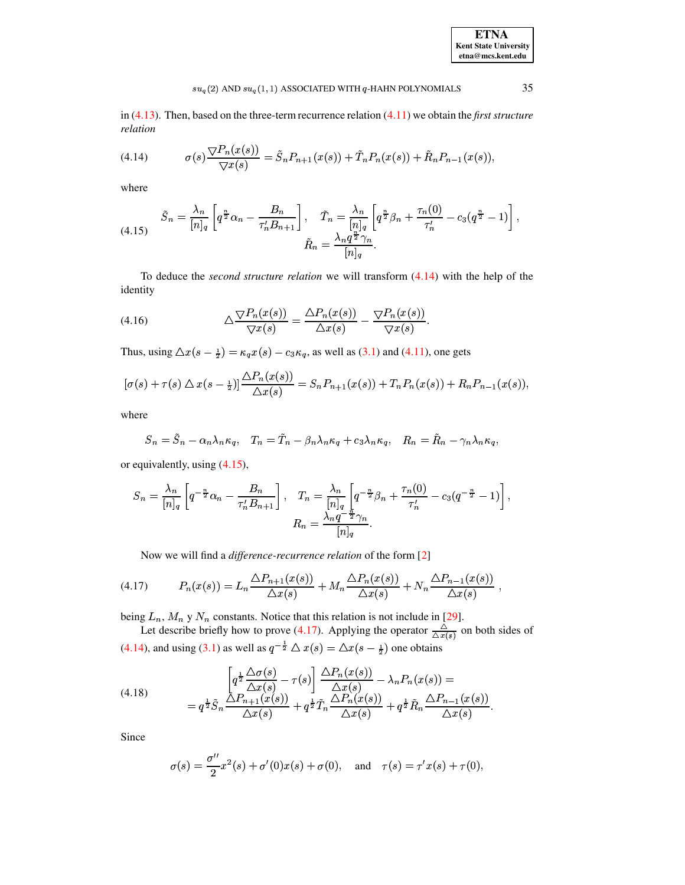# $su_q(2)$  AND  $su_q(1,1)$  ASSOCIATED WITH  $q$  -HAHN POLYNOMIALS

<span id="page-11-0"></span>in  $(4.13)$ . Then, based on the three-term recurrence relation  $(4.11)$  we obtain the *first structure* relation

(4.14) 
$$
\sigma(s) \frac{\nabla P_n(x(s))}{\nabla x(s)} = \tilde{S}_n P_{n+1}(x(s)) + \tilde{T}_n P_n(x(s)) + \tilde{R}_n P_{n-1}(x(s)),
$$

<span id="page-11-1"></span>where

(4.15) 
$$
\tilde{S}_n = \frac{\lambda_n}{[n]_q} \left[ q^{\frac{n}{2}} \alpha_n - \frac{B_n}{\tau'_n B_{n+1}} \right], \quad \tilde{T}_n = \frac{\lambda_n}{[n]_q} \left[ q^{\frac{n}{2}} \beta_n + \frac{\tau_n(0)}{\tau'_n} - c_3 (q^{\frac{n}{2}} - 1) \right],
$$

$$
\tilde{R}_n = \frac{\lambda_n q^{\frac{n}{2}} \gamma_n}{[n]_q}.
$$

<span id="page-11-4"></span>To deduce the *second structure relation* we will transform  $(4.14)$  with the help of the identity

(4.16) 
$$
\Delta \frac{\nabla P_n(x(s))}{\nabla x(s)} = \frac{\Delta P_n(x(s))}{\Delta x(s)} - \frac{\nabla P_n(x(s))}{\nabla x(s)}.
$$

Thus, using  $\Delta x(s-\frac{1}{2}) = \kappa_q x(s) - c_3 \kappa_q$ , as well as (3.1) and (4.11), one gets

$$
[\sigma(s) + \tau(s) \triangle x(s - \frac{1}{2})] \frac{\triangle P_n(x(s))}{\triangle x(s)} = S_n P_{n+1}(x(s)) + T_n P_n(x(s)) + R_n P_{n-1}(x(s))
$$

where

$$
S_n = \tilde{S}_n - \alpha_n \lambda_n \kappa_q, \quad T_n = \tilde{T}_n - \beta_n \lambda_n \kappa_q + c_3 \lambda_n \kappa_q, \quad R_n = \tilde{R}_n - \gamma_n \lambda_n \kappa_q,
$$

or equivalently, using  $(4.15)$ ,

$$
S_n = \frac{\lambda_n}{[n]_q} \left[ q^{-\frac{n}{2}} \alpha_n - \frac{B_n}{\tau'_n B_{n+1}} \right], \quad T_n = \frac{\lambda_n}{[n]_q} \left[ q^{-\frac{n}{2}} \beta_n + \frac{\tau_n(0)}{\tau'_n} - c_3 (q^{-\frac{n}{2}} - 1) \right],
$$

$$
R_n = \frac{\lambda_n q^{-\frac{n}{2}} \gamma_n}{[n]_q}.
$$

<span id="page-11-2"></span>Now we will find a *difference-recurrence relation* of the form [2]

$$
(4.17) \qquad P_n(x(s)) = L_n \frac{\Delta P_{n+1}(x(s))}{\Delta x(s)} + M_n \frac{\Delta P_n(x(s))}{\Delta x(s)} + N_n \frac{\Delta P_{n-1}(x(s))}{\Delta x(s)}
$$

being  $L_n$ ,  $M_n$  y  $N_n$  constants. Notice that this relation is not include in [29].<br>Let describe briefly how to prove (4.17). Applying the operator  $\frac{\triangle}{\triangle x(s)}$  on both sides of (4.14), and using (3.1) as well as  $q^{-\frac{1$ 

(4.18) 
$$
\left[q^{\frac{1}{2}}\frac{\Delta\sigma(s)}{\Delta x(s)} - \tau(s)\right] \frac{\Delta P_n(x(s))}{\Delta x(s)} - \lambda_n P_n(x(s)) =
$$

$$
= q^{\frac{1}{2}}\tilde{S}_n \frac{\Delta P_{n+1}(x(s))}{\Delta x(s)} + q^{\frac{1}{2}}\tilde{T}_n \frac{\Delta P_n(x(s))}{\Delta x(s)} + q^{\frac{1}{2}}\tilde{R}_n \frac{\Delta P_{n-1}(x(s))}{\Delta x(s)}.
$$

Since

<span id="page-11-3"></span>
$$
\sigma(s) = \frac{\sigma''}{2}x^2(s) + \sigma'(0)x(s) + \sigma(0)
$$
, and  $\tau(s) = \tau' x(s) + \tau(0)$ ,

35

**ETNA Kent State University**  $etna@mcs. kent.edu$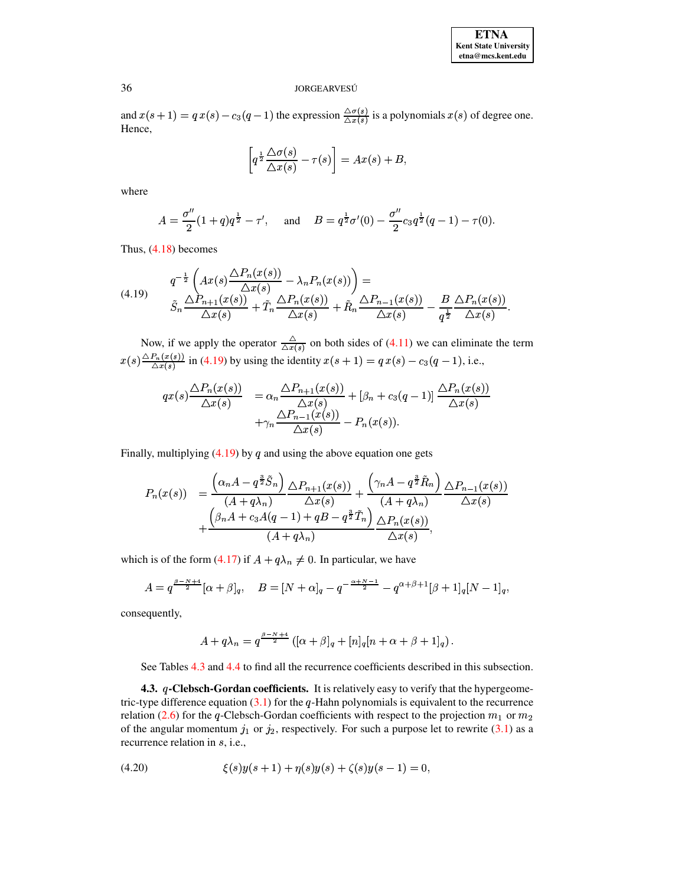| <b>ETNA</b>                  |
|------------------------------|
| <b>Kent State University</b> |
| etna@mcs.kent.edu            |

and  $x(s+1) = qx(s) - c_3(q-1)$  the expression  $\frac{\Delta \sigma(s)}{\Delta x(s)}$  is a polynomials  $x(s)$  of degree one. Hence,

$$
\left[q^{\frac{1}{2}}\frac{\Delta\sigma(s)}{\Delta x(s)} - \tau(s)\right] = Ax(s) + B,
$$

where

$$
A = \frac{\sigma''}{2}(1+q)q^{\frac{1}{2}} - \tau', \quad \text{and} \quad B = q^{\frac{1}{2}}\sigma'(0) - \frac{\sigma''}{2}c_3q^{\frac{1}{2}}(q-1) - \tau(0).
$$

<span id="page-12-0"></span>Thus,  $(4.18)$  becomes

$$
(4.19) \qquad \frac{q^{-\frac{1}{2}}\left(Ax(s)\frac{\Delta P_n(x(s))}{\Delta x(s)} - \lambda_n P_n(x(s))\right) =}{\tilde{S}_n\frac{\Delta P_{n+1}(x(s))}{\Delta x(s)} + \tilde{T}_n\frac{\Delta P_n(x(s))}{\Delta x(s)} + \tilde{R}_n\frac{\Delta P_{n-1}(x(s))}{\Delta x(s)} - \frac{B}{q^{\frac{1}{2}}}\frac{\Delta P_n(x(s))}{\Delta x(s)}.
$$

Now, if we apply the operator  $\frac{\triangle}{\triangle x(s)}$  on both sides of (4.11) we can eliminate the term  $x(s) \frac{\triangle P_n(x(s))}{\triangle x(s)}$  in (4.19) by using the identity  $x(s + 1) = q x(s) - c_3(q - 1)$ , i.e.,

$$
qx(s)\frac{\Delta P_n(x(s))}{\Delta x(s)} = \alpha_n \frac{\Delta P_{n+1}(x(s))}{\Delta x(s)} + [\beta_n + c_3(q-1)] \frac{\Delta P_n(x(s))}{\Delta x(s)} + \gamma_n \frac{\Delta P_{n-1}(x(s))}{\Delta x(s)} - P_n(x(s)).
$$

Finally, multiplying  $(4.19)$  by q and using the above equation one gets

$$
P_n(x(s)) = \frac{\left(\alpha_n A - q^{\frac{3}{2}} \tilde{S}_n\right)}{(A + q\lambda_n)} \frac{\Delta P_{n+1}(x(s))}{\Delta x(s)} + \frac{\left(\gamma_n A - q^{\frac{3}{2}} \tilde{R}_n\right)}{(A + q\lambda_n)} \frac{\Delta P_{n-1}(x(s))}{\Delta x(s)} + \frac{\left(\beta_n A + c_3 A(q-1) + qB - q^{\frac{3}{2}} \tilde{T}_n\right)}{(A + q\lambda_n)} \frac{\Delta P_n(x(s))}{\Delta x(s)},
$$

which is of the form (4.17) if  $A + q\lambda_n \neq 0$ . In particular, we have

$$
A = q^{\frac{\beta - N + 4}{2}} [\alpha + \beta]_q, \quad B = [N + \alpha]_q - q^{-\frac{\alpha + N - 1}{2}} - q^{\alpha + \beta + 1} [\beta + 1]_q [N - 1]_q,
$$

consequently,

$$
A + q\lambda_n = q^{\frac{\beta - N + 4}{2}} \left( [\alpha + \beta]_q + [n]_q [n + \alpha + \beta + 1]_q \right).
$$

See Tables 4.3 and 4.4 to find all the recurrence coefficients described in this subsection.

4.3. q-Clebsch-Gordan coefficients. It is relatively easy to verify that the hypergeometric-type difference equation  $(3.1)$  for the q-Hahn polynomials is equivalent to the recurrence relation (2.6) for the q-Clebsch-Gordan coefficients with respect to the projection  $m_1$  or  $m_2$ of the angular momentum  $j_1$  or  $j_2$ , respectively. For such a purpose let to rewrite (3.1) as a recurrence relation in s, i.e.,

<span id="page-12-1"></span>
$$
(4.20) \qquad \qquad \xi(s)y(s+1) + \eta(s)y(s) + \zeta(s)y(s-1) = 0,
$$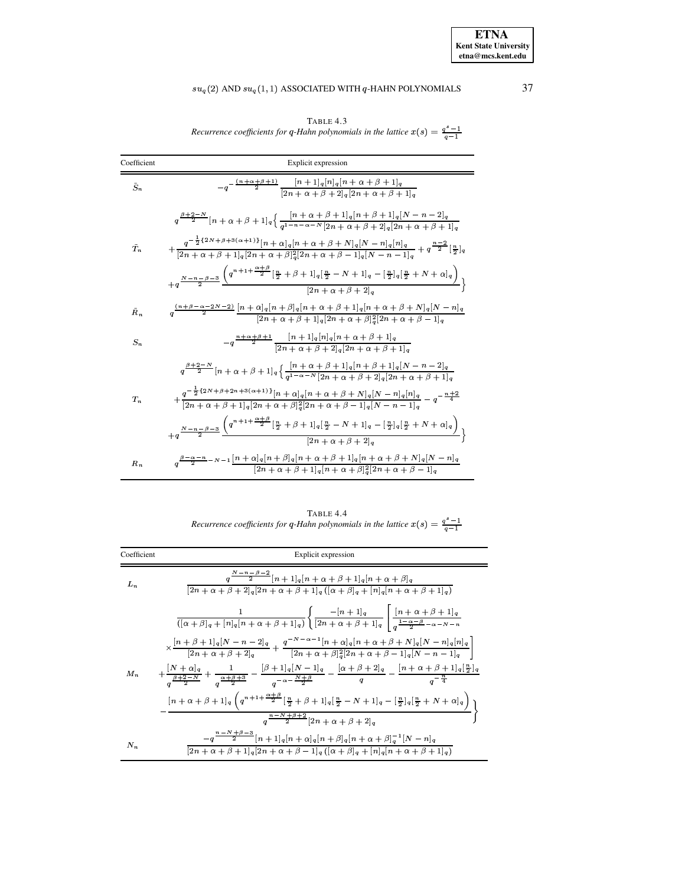TABLE 4.3<br>Recurrence coefficients for q-Hahn polynomials in the lattice  $x(s) = \frac{q^s - 1}{q - 1}$ 

<span id="page-13-0"></span>

| Coefficient   | Explicit expression                                                                                                                                                                                        |
|---------------|------------------------------------------------------------------------------------------------------------------------------------------------------------------------------------------------------------|
| $\tilde{S}_n$ | $-q^{-\frac{(n+\alpha+\beta+1)}{2}}\frac{[n+1]_q[n]_q[n+\alpha+\beta+1]_q}{[2n+\alpha+\beta+2]_q[2n+\alpha+\beta+1]_q}$                                                                                    |
|               | $q^{\frac{\beta+2-N}{2}}[n+\alpha+\beta+1]_q\Big\{\frac{[n+\alpha+\beta+1]_q[n+\beta+1]_q[N-n-2]_q}{q^{1-n-\alpha-N}[2n+\alpha+\beta+2]_q[2n+\alpha+\beta+1]_q}$                                           |
| Ť.            | $+ \frac{q^{-\frac{1}{2}\{2N+\beta+3(\alpha+1)\}}[n+\alpha]_q[n+\alpha+\beta+N]_q[N-n]_q[n]_q}{[2n+\alpha+\beta+1]_q[2n+\alpha+\beta]_q^2[2n+\alpha+\beta-1]_q[N-n-1]_q}+q^{\frac{n-2}{2}}[\frac{n}{2}]_q$ |
|               | $+q^{\frac{N-n-\beta-3}{2}}\frac{\left(q^{n+1+\frac{\alpha+\beta}{2}}[\frac{n}{2}+\beta+1]_q[\frac{n}{2}-N+1]_q-[\frac{n}{2}]_q[\frac{n}{2}+N+\alpha]_q\right)}{[2n+\alpha+\beta+2]_q}\bigg\}$             |
| $\tilde{R}_n$ | $q^{\frac{(n+\beta-\alpha-2N-2)}{2}}\frac{[n+\alpha]_q[n+\beta]_q[n+\alpha+\beta+1]_q[n+\alpha+\beta+N]_q[N-n]_q}{[2n+\alpha+\beta+1]_q[2n+\alpha+\beta]_q^2[2n+\alpha+\beta-1]_q}$                        |
| $S_n$         | $-q^{\frac{n+\alpha+\beta+1}{2}}\frac{[n+1]_q[n]_q[n+\alpha+\beta+1]_q}{[2n+\alpha+\beta+2]_q[2n+\alpha+\beta+1]_q}$                                                                                       |
|               | $q^{\frac{\beta+2-N}{2}}[n+\alpha+\beta+1]_q\Big\{\frac{[n+\alpha+\beta+1]_q[n+\beta+1]_q[N-n-2]_q}{q^{1-\alpha-N}[2n+\alpha+\beta+2]_q[2n+\alpha+\beta+1]_q}$                                             |
| $T_{n}$       | $+\frac{q^{-\frac{1}{2}\{2N+\beta+2n+3(\alpha+1)\}}[n+\alpha]_q[n+\alpha+\beta+N]_q[N-n]_q[n]_q}{[2n+\alpha+\beta+1]_q[2n+\alpha+\beta]_q^2[2n+\alpha+\beta-1]_q[N-n-1]_q}-q^{-\frac{n+2}{4}}$             |
|               | $+q^{\frac{N-n-\beta-3}{2}}\frac{\left(q^{n+1+\frac{\alpha+\beta}{2}}[\frac{n}{2}+\beta+1]_q[\frac{n}{2}-N+1]_q-[\frac{n}{2}]_q[\frac{n}{2}+N+\alpha]_q\right)}{[2n+\alpha+\beta+2]_q}$                    |
| $R_n$         | $q^{\frac{\beta-\alpha-n}{2}-N-1}\frac{[n+\alpha]_q[n+\beta]_q[n+\alpha+\beta+1]_q[n+\alpha+\beta+N]_q[N-n]_q}{[2n+\alpha+\beta+1]_q[n+\alpha+\beta]_q^2[2n+\alpha+\beta-1]_q}$                            |

TABLE 4.4<br>Recurrence coefficients for q-Hahn polynomials in the lattice  $x(s) = \frac{q^s - 1}{q - 1}$ 

<span id="page-13-1"></span>

| Coefficient | Explicit expression                                                                                                                                                                                                                          |
|-------------|----------------------------------------------------------------------------------------------------------------------------------------------------------------------------------------------------------------------------------------------|
| $L_n$       | $q^{\frac{N-n-\beta-2}{2}}[n+1]_q[n+\alpha+\beta+1]_q[n+\alpha+\beta]_q$<br>$[2n + \alpha + \beta + 2]_q[2n + \alpha + \beta + 1]_q ([\alpha + \beta]_q + [n]_q[n + \alpha + \beta + 1]_q)$                                                  |
|             | $\frac{1}{([\alpha + \beta]_q + [n]_q[n+\alpha + \beta +1]_q)}\Bigg\{\frac{-[n+1]_q}{[2n+\alpha+\beta +1]_q}\ \Bigg\lfloor \frac{[n+\alpha+\beta +1]_q}{\frac{1-\alpha-\beta}{2}-\alpha-N-n}}$                                               |
|             | $\times \frac{[n+\beta+1]_q[N-n-2]_q}{[2n+\alpha+\beta+2]_q} + \frac{q^{-N-\alpha-1}[n+\alpha]_q[n+\alpha+\beta+N]_q[N-n]_q[n]_q}{[2n+\alpha+\beta]_q^2[2n+\alpha+\beta-1]_q[N-n-1]_q}$                                                      |
| $M_n$       | $+\frac{[N+\alpha]_q}{a^{\tfrac{\beta+2-N}{2}}}+\frac{1}{a^{\tfrac{\alpha+\beta+3}{2}}}-\frac{[\beta+1]_q[N-1]_q}{a^{-\alpha-\tfrac{N+\beta}{2}}}-\frac{[\alpha+\beta+2]_q}{q}-\frac{[n+\alpha+\beta+1]_q[\frac{n}{2}]_q}{a^{-\frac{n}{4}}}$ |
|             | $[n+\alpha+\beta+1]_q\left(q^{n+1+\frac{\alpha+\beta}2}[\tfrac n2+\beta+1]_q[\tfrac n2-N+1]_q-[\tfrac n2]_q[\tfrac n2+N+\alpha]_q\right)$                                                                                                    |
|             | $a^{\frac{n-N+\beta+2}{2}}[2n+\alpha+\beta+2]_q$                                                                                                                                                                                             |
| $N_n$       | $-q^{\frac{n-N+\beta-3}{2}}[n+1]_q[n+\alpha]_q[n+\beta]_q[n+\alpha+\beta]_q^{-1}[N-n]_q$<br>$[2n + \alpha + \beta + 1]_q[2n + \alpha + \beta - 1]_q ([\alpha + \beta]_q + [n]_q[n + \alpha + \beta + 1]_q)$                                  |

37

**ETNA** Kent State University etna@mcs.kent.edu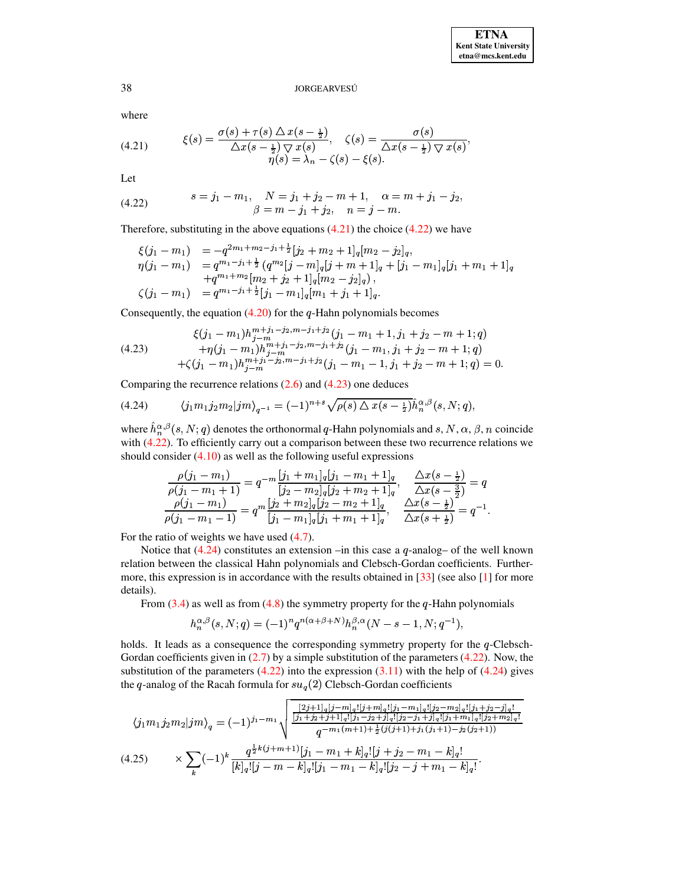<span id="page-14-1"></span>where

(4.21) 
$$
\xi(s) = \frac{\sigma(s) + \tau(s) \Delta x(s - \frac{1}{2})}{\Delta x(s - \frac{1}{2}) \nabla x(s)}, \quad \zeta(s) = \frac{\sigma(s)}{\Delta x(s - \frac{1}{2}) \nabla x(s)}, \eta(s) = \lambda_n - \zeta(s) - \xi(s).
$$

<span id="page-14-2"></span>Let

(4.22) 
$$
s = j_1 - m_1, \quad N = j_1 + j_2 - m + 1, \quad \alpha = m + j_1 - j_2, \beta = m - j_1 + j_2, \quad n = j - m.
$$

Therefore, substituting in the above equations  $(4.21)$  the choice  $(4.22)$  we have

<span id="page-14-3"></span>
$$
\begin{array}{ll} \xi(j_1-m_1) & = -q^{2m_1+m_2-j_1+\frac{1}{2}}[j_2+m_2+1]_q[m_2-j_2]_q, \\ \eta(j_1-m_1) & = q^{m_1-j_1+\frac{1}{2}} \left( q^{m_2} [j-m]_q [j+m+1]_q + [j_1-m_1]_q [j_1+m_1+1]_q \right. \\ & \left. + q^{m_1+m_2}[m_2+j_2+1]_q[m_2-j_2]_q \right), \\ \zeta(j_1-m_1) & = q^{m_1-j_1+\frac{1}{2}}[j_1-m_1]_q[m_1+j_1+1]_q. \end{array}
$$

Consequently, the equation  $(4.20)$  for the q-Hahn polynomials becomes

(4.23) 
$$
\begin{aligned}\n &\xi(j_1 - m_1)h_{j-m}^{m+j_1-j_2, m-j_1+j_2}(j_1 - m_1 + 1, j_1 + j_2 - m + 1; q) \\
&\quad + \eta(j_1 - m_1)h_{j-m}^{m+j_1-j_2, m-j_1+j_2}(j_1 - m_1, j_1 + j_2 - m + 1; q) \\
&\quad + \zeta(j_1 - m_1)h_{j-m}^{m+j_1-j_2, m-j_1+j_2}(j_1 - m_1 - 1, j_1 + j_2 - m + 1; q) = 0.\n \end{aligned}
$$

Comparing the recurrence relations  $(2.6)$  and  $(4.23)$  one deduces

<span id="page-14-0"></span>(4.24) 
$$
\langle j_1 m_1 j_2 m_2 | j m \rangle_{q^{-1}} = (-1)^{n+s} \sqrt{\rho(s) \Delta x (s - \frac{1}{2})} \hat{h}_n^{\alpha,\beta}(s, N; q),
$$

where  $\hat{h}_n^{\alpha,\beta}(s,N;q)$  denotes the orthonormal q-Hahn polynomials and s, N,  $\alpha$ ,  $\beta$ , n coincide with [\(4.22\)](#page-14-2). To efficiently carry out a comparison between these two recurrence relations we should consider [\(4.10\)](#page-9-3) as well as the following useful expressions

$$
\frac{\rho(j_1-m_1)}{\rho(j_1-m_1+1)}=q^{-m}\frac{[j_1+m_1]_q[j_1-m_1+1]_q}{[j_2-m_2]_q[j_2+m_2+1]_q},\quad \frac{\Delta x(s-\frac{1}{2})}{\Delta x(s-\frac{3}{2})}=q
$$
  

$$
\frac{\rho(j_1-m_1)}{\rho(j_1-m_1-1)}=q^{m}\frac{[j_2+m_2]_q[j_2-m_2+1]_q}{[j_1-m_1]_q[j_1+m_1+1]_q},\quad \frac{\Delta x(s-\frac{1}{2})}{\Delta x(s+\frac{1}{2})}=q^{-1}.
$$

For the ratio of weights we have used  $(4.7)$ .

Notice that  $(4.24)$  constitutes an extension –in this case a  $q$ -analog– of the well known relation between the classical Hahn polynomials and Clebsch-Gordan coefficients. Furthermore, this expression is in accordance with the results obtained in  $[33]$  (see also  $[1]$  for more details).

From [\(3.4\)](#page-5-2) as well as from [\(4.8\)](#page-8-3) the symmetry property for the q-Hahn polynomials

$$
h_n^{\alpha,\beta}(s,N;q)=(-1)^n q^{n(\alpha+\beta+N)}h_n^{\beta,\alpha}(N-s-1,N;q^{-1}),
$$

holds. It leads as a consequence the corresponding symmetry property for the  $q$ -Clebsch-Gordan coefficients given in  $(2.7)$  by a simple substitution of the parameters  $(4.22)$ . Now, the substitution of the parameters  $(4.22)$  into the expression  $(3.11)$  with the help of  $(4.24)$  gives the q-analog of the Racah formula for  $su_q(2)$  Clebsch-Gordan coefficients

<span id="page-14-4"></span>
$$
\langle j_1m_1j_2m_2|jm\rangle_q = (-1)^{j_1 - m_1} \sqrt{\frac{\frac{[2j+1]_q[j-m]_q![j_1-m]_q![j_1-m_1]_q![j_2-m_2]_q![j_1+j_2-j]_q!}{[j_1+j_2+j+1]_q![j_1-j_2+j]_q![j_2-j_1+j]_q![j_1+m_1]_q![j_2+m_2]_q!}}{\frac{q^{\frac{1}{2}k(j+m+1)}k![j_1-m_1+k]_q![j_1-j_2+j_1+j_1(j_1+1)-j_2(j_2+1))}}{\frac{q^{\frac{1}{2}k(j+m+1)}[j_1-m_1+k]_q![j+j_2-m_1-k]_q!}{[k]_q![j-m-k]_q![j_1-m_1-k]_q![j_2-j+m_1-k]_q!}}.
$$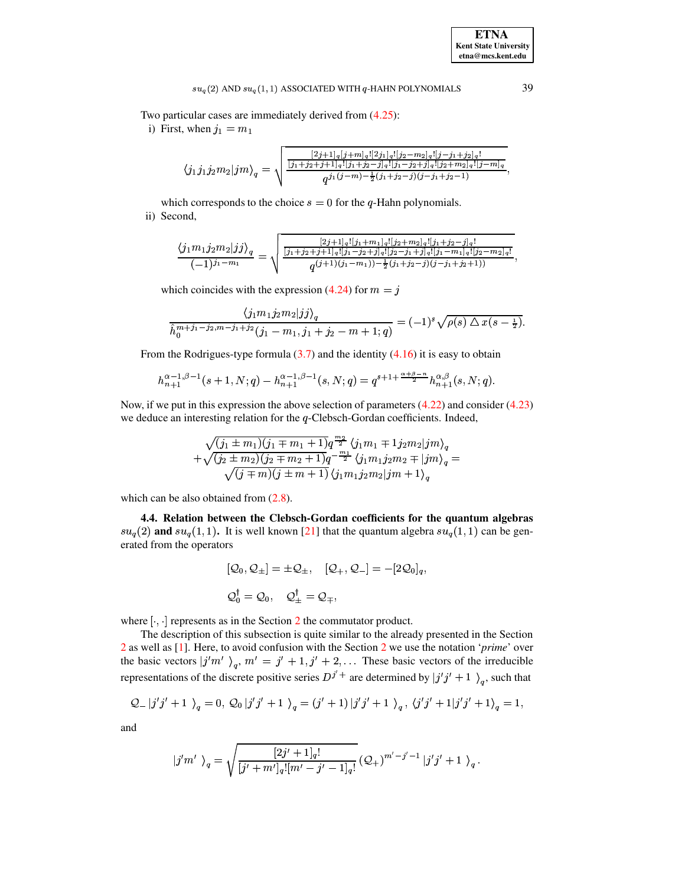## $su_q(2)$  AND  $su_q(1, 1)$  ASSOCIATED WITH  $q$ -HAHN POLYNOMIALS

Two particular cases are immediately derived from  $(4.25)$ :

i) First, when  $j_1 = m_1$ 

$$
\langle j_1 j_1 j_2 m_2 | j m \rangle_q = \sqrt{\frac{\frac{[2j+1]_q [j+m]_q![2j_1]_q![j_2-m_2]_q![j-j_1+j_2]_q!}{[j_1+j_2+j+1]_q![j_1+j_2-j]_q![j_1-j_2+j]_q![j_2+m_2]_q![j-m]_q}}{q^{j_1(j-m)-\frac{1}{2}(j_1+j_2-j)(j-j_1+j_2-1)}}
$$

which corresponds to the choice  $s = 0$  for the q-Hahn polynomials. ii) Second,

$$
\frac{\langle j_1m_1j_2m_2|jj\rangle_q}{(-1)^{j_1-m_1}} = \sqrt{\frac{\frac{[2j+1]_q![j_1+m_1]_q![j_2+m_2]_q![j_1+j_2-j]_q!}{[j_1+j_2+j_1]_q![j_1-j_2+j]_q![j_2-j_1+j]_q![j_1-m_1]_q![j_2-m_2]_q!}{q^{(j+1)(j_1-m_1))-\frac{1}{2}(j_1+j_2-j)(j-j_1+j_2+1))}}
$$

which coincides with the expression (4.24) for  $m = j$ 

$$
\frac{\langle j_1m_1j_2m_2|jj\rangle_q}{\hat{h}_0^{m+j_1-j_2,m-j_1+j_2}(j_1-m_1,j_1+j_2-m+1;q)} = (-1)^s \sqrt{\rho(s) \bigtriangleup x(s-\frac{1}{2})}.
$$

From the Rodrigues-type formula  $(3.7)$  and the identity  $(4.16)$  it is easy to obtain

$$
h_{n+1}^{\alpha-1,\beta-1}(s+1,N;q) - h_{n+1}^{\alpha-1,\beta-1}(s,N;q) = q^{s+1+\frac{\alpha+\beta-n}{2}} h_{n+1}^{\alpha,\beta}(s,N;q).
$$

Now, if we put in this expression the above selection of parameters  $(4.22)$  and consider  $(4.23)$ we deduce an interesting relation for the  $q$ -Clebsch-Gordan coefficients. Indeed,

$$
\begin{array}{c}\sqrt{(j_1\pm m_1)(j_1\mp m_1+1)}q^{\frac{m_2}{2}}\left\langle j_1m_1\mp 1j_2m_2|jm\right\rangle_q\\+\sqrt{(j_2\pm m_2)(j_2\mp m_2+1)}q^{-\frac{m_1}{2}}\left\langle j_1m_1j_2m_2\mp |jm\right\rangle_q=\\\sqrt{(j\mp m)(j\pm m+1)}\left\langle j_1m_1j_2m_2|jm+1\right\rangle_q\end{array}=
$$

which can be also obtained from  $(2.8)$ .

4.4. Relation between the Clebsch-Gordan coefficients for the quantum algebras  $su_q(2)$  and  $su_q(1,1)$ . It is well known [21] that the quantum algebra  $su_q(1,1)$  can be generated from the operators

$$
\begin{aligned} [\mathcal{Q}_0, \mathcal{Q}_\pm] &= \pm \mathcal{Q}_\pm, \quad [\mathcal{Q}_+, \mathcal{Q}_-] = -[2\mathcal{Q}_0]_q, \\ \mathcal{Q}_0^\dagger &= \mathcal{Q}_0, \quad \mathcal{Q}_\pm^\dagger = \mathcal{Q}_\mp, \end{aligned}
$$

where  $[\cdot, \cdot]$  represents as in the Section 2 the commutator product.

The description of this subsection is quite similar to the already presented in the Section 2 as well as  $[1]$ . Here, to avoid confusion with the Section 2 we use the notation '*prime*' over the basic vectors  $|j'm' \rangle_q$ ,  $m' = j' + 1, j' + 2, \dots$  These basic vectors of the irreducible representations of the discrete positive series  $D^{j'+}$  are determined by  $|j'j' + 1 \rangle_q$ , such that

$$
Q_{-} |j'j' + 1 \rangle_{q} = 0, Q_{0} |j'j' + 1 \rangle_{q} = (j' + 1) |j'j' + 1 \rangle_{q}, \langle j'j' + 1 |j'j' + 1 \rangle_{q} = 1,
$$

and

$$
j'm'\ )_q=\sqrt{\frac{[2j'+1]_q!}{[j'+m']_q! [m'-j'-1]_q!}}\left(\mathcal{Q}_+\right)^{m'-j'-1}|j'j'+1\ \right)_q.
$$

39

**ETNA Kent State University**  $etna@mcs. kent.edu$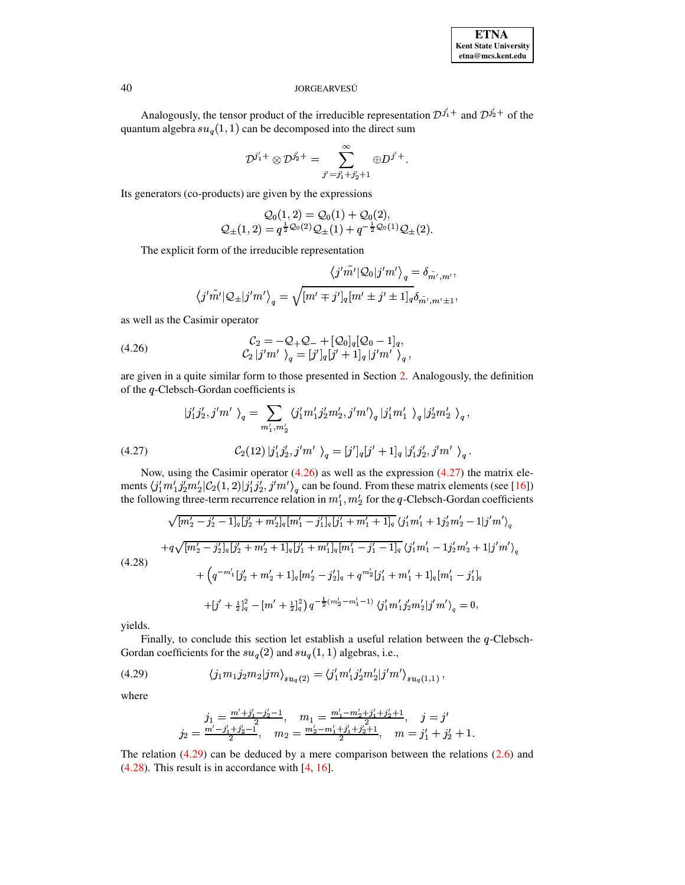Analogously, the tensor product of the irreducible representation  $D^{j_1'}$  and  $D^{j_2'}$  of the quantum algebra  $su_q(1,1)$  can be decomposed into the direct sum

$$
\mathcal{D}^{j_1'+}\otimes\mathcal{D}^{j_2'+}=\sum_{j'=j_1'+j_2'+1}^\infty\oplus D^{j'+}.
$$

Its generators (co-products) are given by the expressions

$$
Q_0(1,2) = Q_0(1) + Q_0(2),
$$
  

$$
Q_{\pm}(1,2) = q^{\frac{1}{2}Q_0(2)}Q_{\pm}(1) + q^{-\frac{1}{2}Q_0(1)}Q_{\pm}(2)
$$

The explicit form of the irreducible representation

<span id="page-16-0"></span>
$$
\langle j'\tilde{m'}|\mathcal{Q}_0|j'm'\rangle_q = \delta_{\tilde{m'},m'},
$$
  

$$
\langle j'\tilde{m'}|\mathcal{Q}_\pm|j'm'\rangle_q = \sqrt{[m'\mp j']_q[m'\pm j'\pm 1]_q}\delta_{\tilde{m'},m'\pm 1},
$$

as well as the Casimir operator

(4.26) 
$$
\mathcal{C}_2 = -\mathcal{Q}_+ \mathcal{Q}_- + [\mathcal{Q}_0]_q [\mathcal{Q}_0 - 1]_q, \n\mathcal{C}_2 |j'm' \rangle_q = [j']_q [j' + 1]_q |j'm' \rangle_q,
$$

are given in a quite similar form to those presented in Section 2. Analogously, the definition of the  $q$ -Clebsch-Gordan coefficients is

<span id="page-16-1"></span>(4.27) 
$$
|j'_1j'_2, j'm' \rangle_q = \sum_{m'_1, m'_2} \langle j'_1m'_1j'_2m'_2, j'm' \rangle_q |j'_1m'_1 \rangle_q |j'_2m'_2 \rangle_q,
$$

$$
C_2(12) |j'_1j'_2, j'm' \rangle_q = [j']_q[j'+1]_q |j'_1j'_2, j'm' \rangle_q.
$$

<span id="page-16-3"></span>Now, using the Casimir operator  $(4.26)$  as well as the expression  $(4.27)$  the matrix elements  $\langle j'_1 m'_1 j'_2 m'_2 | C_2(1,2) | j'_1 j'_2, j' m' \rangle_q$  can be found. From these matrix elements (see [16]) the following three-term recurrence relation in  $m'_1, m'_2$  for the q-Clebsch-Gordan coefficients

$$
\sqrt{[m'_2 - j'_2 - 1]_q [j'_2 + m'_2]_q [m'_1 - j'_1]_q [j'_1 + m'_1 + 1]_q \langle j'_1 m'_1 + 1 j'_2 m'_2 - 1]j' m' \rangle_q
$$
  
+ $q \sqrt{[m'_2 - j'_2]_q [j'_2 + m'_2 + 1]_q [j'_1 + m'_1]_q [m'_1 - j'_1 - 1]_q \langle j'_1 m'_1 - 1 j'_2 m'_2 + 1]j' m' \rangle_q$   
(4.28)  
+ $\left(q^{-m'_1} [j'_2 + m'_2 + 1]_q [m'_2 - j'_2]_q + q^{m'_2} [j'_1 + m'_1 + 1]_q [m'_1 - j'_1]_q\right)$   
+ $\left[j' + \frac{1}{2} \right]_q^2 - [m' + \frac{1}{2} \right]_q^2 q^{-\frac{1}{2} (m'_2 - m'_1 - 1)} \langle j'_1 m'_1 j'_2 m'_2 | j' m' \rangle_q = 0,$ 

yields.

Finally, to conclude this section let establish a useful relation between the  $q$ -Clebsch-Gordan coefficients for the  $su_q(2)$  and  $su_q(1, 1)$  algebras, i.e.,

(4.29) 
$$
\langle j_1 m_1 j_2 m_2 | j m \rangle_{su_q(2)} = \langle j'_1 m'_1 j'_2 m'_2 | j' m' \rangle_{su_q(1,1)},
$$

where

<span id="page-16-2"></span>
$$
j_1=\frac{m'+j'_1-j'_2-1}{2},\quad m_1=\frac{m'_1-m'_2+j'_1+j'_2+1}{2},\quad j=j'\newline j_2=\frac{m'-j'_1+j'_2-1}{2},\quad m_2=\frac{m'_2-m'_1+j'_1+j'_2+1}{2},\quad m=j'_1+j'_2+1.
$$

The relation  $(4.29)$  can be deduced by a mere comparison between the relations  $(2.6)$  and  $(4.28)$ . This result is in accordance with  $[4, 16]$ .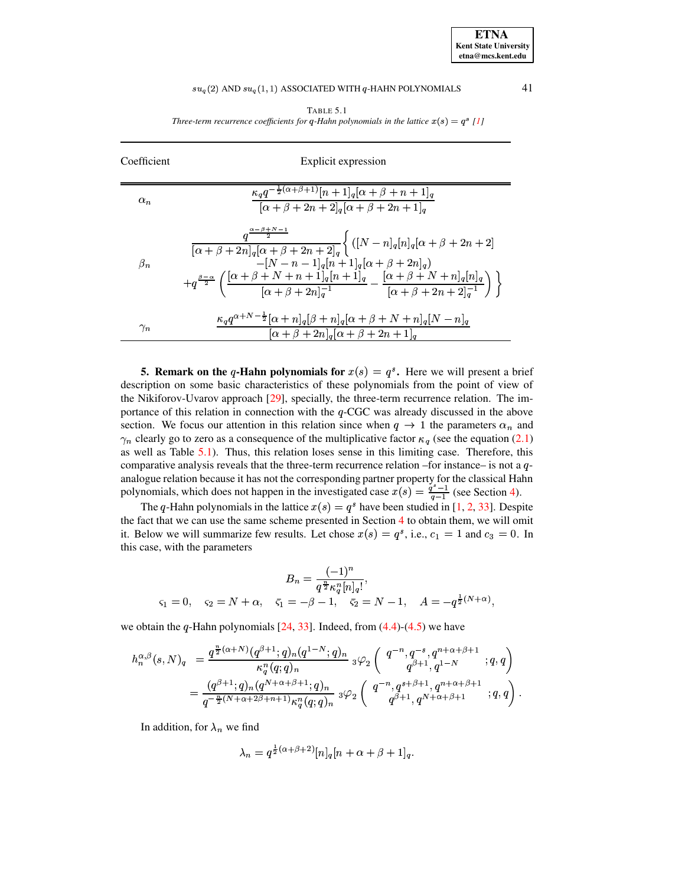# $su_q(2)$  AND  $su_q(1,1)$  ASSOCIATED WITH  $q$ -HAHN POLYNOMIALS  $41$

TABLE 5.1 *Three-term recurrence coefficients for*  $q$ -Hahn polynomials in the lattice  $x(s) = q^s$  [\[1\]](#page-19-21)

<span id="page-17-1"></span>

| Coefficient | Explicit expression                                                                                                                                                                                                                                                                                                                                                                                |
|-------------|----------------------------------------------------------------------------------------------------------------------------------------------------------------------------------------------------------------------------------------------------------------------------------------------------------------------------------------------------------------------------------------------------|
| $\alpha_n$  | $\frac{\kappa_q q^{-\frac{1}{2}(\alpha+\beta+1)}[n+1]_q[\alpha+\beta+n+1]_q}{\kappa_q q^{-\frac{1}{2}(\alpha+\beta+1)}$<br>$\frac{1}{[\alpha + \beta + 2n + 2]_q[\alpha + \beta + 2n + 1]_q}$                                                                                                                                                                                                      |
| $\beta_n$   | $\frac{q^{\frac{\alpha-\beta+N-1}{2}}}{\left[\alpha+\beta+2n\right]_q\left[\alpha+\beta+2n+2\right]_q}\Bigg\{\left([N-n]_q[n]_q[\alpha+\beta+2n+2]\right\}$<br>$- [N - n - 1]_q [n + 1]_q [\alpha + \beta + 2n]_q$<br>$+q^{\frac{\beta-\alpha}{2}}\left(\frac{[\alpha+\beta+N+n+1]_q[n+1]_q}{[\alpha+\beta+2n]_q^{-1}}-\frac{[\alpha+\beta+N+n]_q[n]_q}{[\alpha+\beta+2n+2]_q^{-1}}\right)\bigg\}$ |
| $\gamma_n$  | $\kappa_q q^{\alpha+N-\frac{1}{2}}[\alpha+n]_q[\beta+n]_q[\alpha+\beta+N+n]_q[N-n]_q$<br>$[\alpha + \beta + 2n]_q[\alpha + \beta + 2n + 1]_q$                                                                                                                                                                                                                                                      |

<span id="page-17-0"></span>**5. Remark** on the q-Hahn polynomials for  $x(s) = q^s$ . Here we will present a brief description on some basic characteristics of these polynomials from the point of view of the Nikiforov-Uvarov approach [\[29\]](#page-20-0), specially, the three-term recurrence relation. The importance of this relation in connection with the  $q$ -CGC was already discussed in the above section. We focus our attention in this relation since when  $q \to 1$  the parameters  $\alpha_n$  and  $\gamma_n$  clearly go to zero as a consequence of the multiplicative factor  $\kappa_q$  (see the equation [\(2.1\)](#page-2-1) as well as Table [5.1\)](#page-17-1). Thus, this relation loses sense in this limiting case. Therefore, this comparative analysis reveals that the three-term recurrence relation –for instance– is not a  $q$ analogue relation because it has not the corresponding partner property for the classical Hahn polynomials, which does not happen in the investigated case  $x(s) = \frac{q-1}{q-1}$  (see Section [4\)](#page-7-0).

The q-Hahn polynomials in the lattice  $x(s) = q^s$  have been studied in [\[1,](#page-19-21) [2,](#page-19-18) [33\]](#page-20-15). Despite the fact that we can use the same scheme presented in Section [4](#page-7-0) to obtain them, we will omit it. Below we will summarize few results. Let chose  $x(s) = q^s$ , i.e.,  $c_1 = 1$  and  $c_3 = 0$ . In this case, with the parameters

$$
B_n = \frac{(-1)^n}{q^{\frac{n}{2}} \kappa_q^n [n]_q!},
$$
  

$$
\varsigma_1 = 0, \quad \varsigma_2 = N + \alpha, \quad \bar{\varsigma}_1 = -\beta - 1, \quad \bar{\varsigma}_2 = N - 1, \quad A = -q^{\frac{1}{2}(N+\alpha)},
$$

we obtain the  $q$ -Hahn polynomials  $[24, 33]$  $[24, 33]$  $[24, 33]$ . Indeed, from  $(4.4)-(4.5)$  $(4.4)-(4.5)$  $(4.4)-(4.5)$  we have

$$
\begin{array}{ll} h_n^{\alpha,\beta}(s,N)_q & = \frac{q^{\frac{n}{2}(\alpha+N)}(q^{\beta+1};q)_n(q^{1-N};q)_n}{\kappa_q^n(q;q)_n} \; _3\varphi_2\left( \begin{array}{c} q^{-n},q^{-s},q^{n+\alpha+\beta+1} \\ q^{\beta+1},q^{1-N} \end{array} ;q,q \right) \\ & = \frac{(q^{\beta+1};q)_n(q^{N+\alpha+\beta+1};q)_n}{q^{-\frac{n}{2}(N+\alpha+2\beta+n+1)}\kappa_q^n(q;q)_n} \; _3\varphi_2\left( \begin{array}{c} q^{-n},q^{s+\beta+1},q^{n+\alpha+\beta+1} \\ q^{\beta+1},q^{N+\alpha+\beta+1} \end{array} ;q,q \right). \end{array}
$$

In addition, for  $\lambda_n$  we find

$$
\lambda_n = q^{\frac{1}{2}(\alpha+\beta+2)} [n]_q [n+\alpha+\beta+1]_q.
$$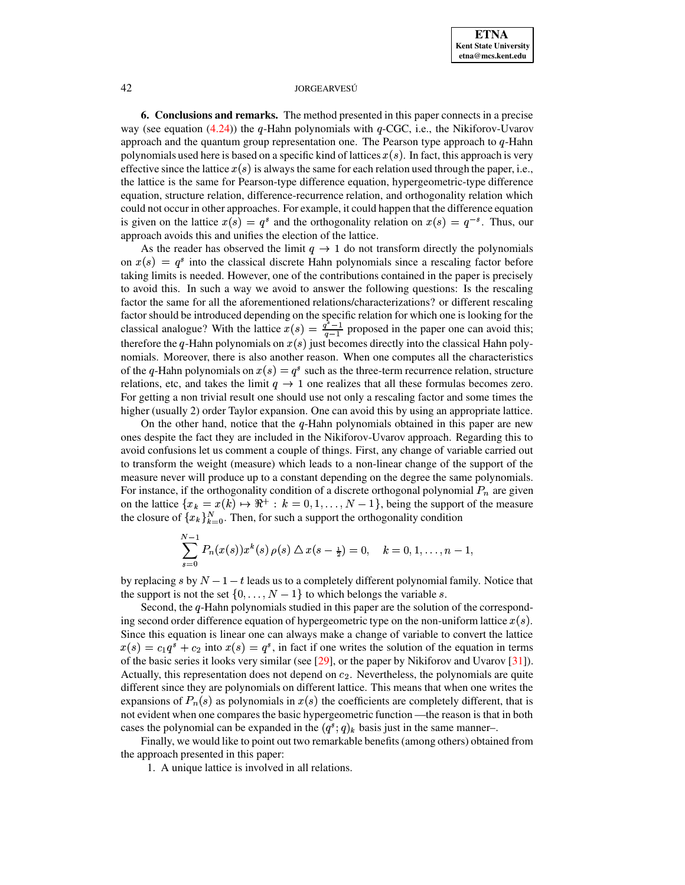<span id="page-18-0"></span>**6. Conclusions and remarks.** The method presented in this paper connects in a precise way (see equation [\(4.24\)](#page-14-0)) the q-Hahn polynomials with  $q$ -CGC, i.e., the Nikiforov-Uvarov approach and the quantum group representation one. The Pearson type approach to  $q$ -Hahn polynomials used here is based on a specific kind of lattices  $x(s)$ . In fact, this approach is very effective since the lattice  $x(s)$  is always the same for each relation used through the paper, i.e., the lattice is the same for Pearson-type difference equation, hypergeometric-type difference equation, structure relation, difference-recurrence relation, and orthogonality relation which could not occur in other approaches. For example, it could happen that the difference equation is given on the lattice  $x(s) = q^s$  and the orthogonality relation on  $x(s) = q^{-s}$ . Thus, our approach avoids this and unifies the election of the lattice.

As the reader has observed the limit  $q \to 1$  do not transform directly the polynomials on  $x(s) = q^s$  into the classical discrete Hahn polynomials since a rescaling factor before taking limits is needed. However, one of the contributions contained in the paper is precisely to avoid this. In such a way we avoid to answer the following questions: Is the rescaling factor the same for all the aforementioned relations/characterizations? or different rescaling factor should be introduced depending on the specific relation for which one is looking for the classical analogue? With the lattice  $x(s) = \frac{q-1}{s-1}$  proposed in the paper one can avoid this; therefore the q-Hahn polynomials on  $x(s)$  just becomes directly into the classical Hahn polynomials. Moreover, there is also another reason. When one computes all the characteristics of the q-Hahn polynomials on  $x(s) = q^s$  such as the three-term recurrence relation, structure relations, etc, and takes the limit  $q \to 1$  one realizes that all these formulas becomes zero. For getting a non trivial result one should use not only a rescaling factor and some times the higher (usually 2) order Taylor expansion. One can avoid this by using an appropriate lattice.

On the other hand, notice that the  $q$ -Hahn polynomials obtained in this paper are new ones despite the fact they are included in the Nikiforov-Uvarov approach. Regarding this to avoid confusions let us comment a couple of things. First, any change of variable carried out to transform the weight (measure) which leads to a non-linear change of the support of the measure never will produce up to a constant depending on the degree the same polynomials. For instance, if the orthogonality condition of a discrete orthogonal polynomial  $P_n$  are given on the lattice  $\{x_k = x(k) \mapsto \Re^+ : k = 0, 1, \ldots, N-1\}$ , being the support of the measure the closure of  $\{x_k\}_{k=0}^N$ . Then, for such a support the orthogonality condition

$$
\sum_{s=0}^{N-1} P_n(x(s))x^k(s)\,\rho(s)\Delta x(s-\tfrac{1}{2})=0, \quad k=0,1,\ldots,n-1,
$$

by replacing s by  $N-1-t$  leads us to a completely different polynomial family. Notice that the support is not the set  $\{0, \ldots, N-1\}$  to which belongs the variable s.

Second, the  $q$ -Hahn polynomials studied in this paper are the solution of the corresponding second order difference equation of hypergeometric type on the non-uniform lattice  $x(s)$ . Since this equation is linear one can always make a change of variable to convert the lattice  $x(s) = c_1 q^s + c_2$  into  $x(s) = q^s$ , in fact if one writes the solution of the equation in terms of the basic series it looks very similar (see  $[29]$ , or the paper by Nikiforov and Uvarov  $[31]$ ). Actually, this representation does not depend on  $c_2$ . Nevertheless, the polynomials are quite different since they are polynomials on different lattice. This means that when one writes the expansions of  $P_n(s)$  as polynomials in  $x(s)$  the coefficients are completely different, that is not evident when one compares the basic hypergeometric function —the reason is that in both cases the polynomial can be expanded in the  $(q^s; q)_k$  basis just in the same manner–.

Finally, we would like to point out two remarkable benefits (among others) obtained from the approach presented in this paper:

1. A unique lattice is involved in all relations.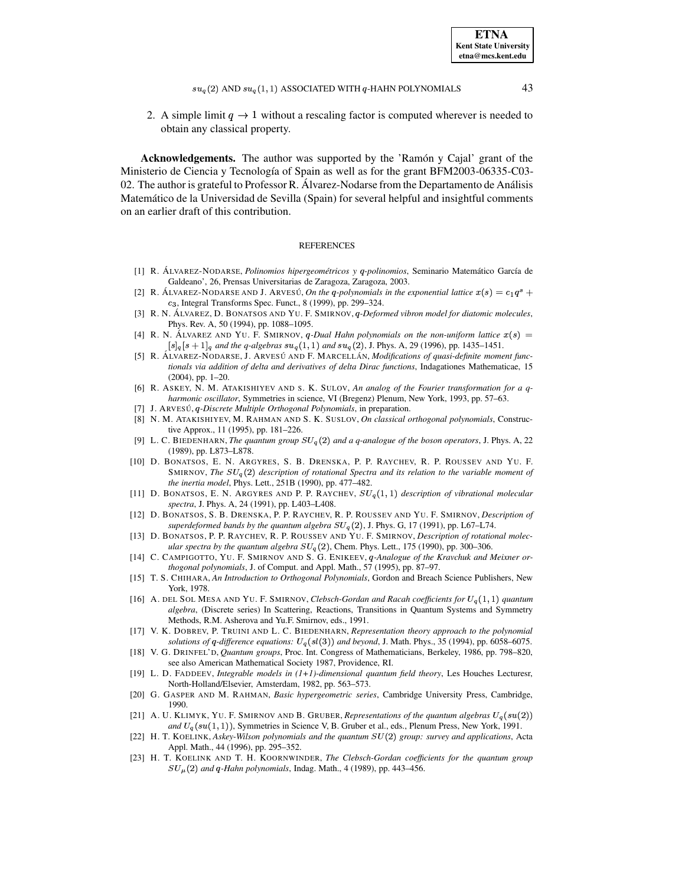$su_q(2)$  AND  $su_q(1,1)$  ASSOCIATED WITH  $q$ -HAHN POLYNOMIALS 43

2. A simple limit  $q \to 1$  without a rescaling factor is computed wherever is needed to obtain any classical property.

Acknowledgements. The author was supported by the 'Ramon` y Cajal' grant of the Ministerio de Ciencia y Tecnología of Spain as well as for the grant BFM2003-06335-C03-02. The author is grateful to Professor R. Álvarez-Nodarse from the Departamento de Análisis Matemático de la Universidad de Sevilla (Spain) for several helpful and insightful comments on an earlier draft of this contribution.

## **REFERENCES**

- <span id="page-19-21"></span><span id="page-19-18"></span>[1] R. A´ LVAREZ-NODARSE, *Polinomios hipergeometricos ´ y -polinomios*, Seminario Matematico ´ Garc´ıa de Galdeano', 26, Prensas Universitarias de Zaragoza, Zaragoza, 2003.
- [2] R. ÁLVAREZ-NODARSE AND J. ARVESÚ, *On the q-polynomials in the exponential lattice*  $x(s) = c_1 q^s +$  $c_3$ , Integral Transforms Spec. Funct., 8 (1999), pp. 299–324.
- <span id="page-19-13"></span>[3] R. N. A´ LVAREZ, D. BONATSOS AND YU. F. SMIRNOV, *-Deformed vibron model for diatomic molecules*, Phys. Rev. A, 50 (1994), pp. 1088–1095.
- <span id="page-19-16"></span>[4] R. N. ALVAREZ AND YU. F. SMIRNOV, *q-Dual Hahn polynomials on the non-uniform lattice*  $x(s)$  =  $[s]_q[s+1]_q$  and the q-algebras  $su_q(1,1)$  and  $su_q(2)$ , J. Phys. A, 29 (1996), pp. 1435–1451.
- <span id="page-19-4"></span>[5] R. ÁLVAREZ-NODARSE, J. ARVESÚ AND F. MARCELLÁN, *Modifications* of quasi-definite moment func*tionals via addition of delta and derivatives of delta Dirac functions*, Indagationes Mathematicae, 15 (2004), pp. 1–20.
- <span id="page-19-5"></span>[6] R. ASKEY, N. M. ATAKISHIYEV AND S. K. SULOV, *An analog of the Fourier transformation for a qharmonic oscillator*, Symmetries in science, VI (Bregenz) Plenum, New York, 1993, pp. 57–63.
- <span id="page-19-20"></span><span id="page-19-0"></span>[7] J. ARVESU´, *-Discrete Multiple Orthogonal Polynomials*, in preparation.
- [8] N. M. ATAKISHIYEV, M. RAHMAN AND S. K. SUSLOV, *On classical orthogonal polynomials*, Constructive Approx., 11 (1995), pp. 181–226.
- <span id="page-19-6"></span>[9] L. C. BIEDENHARN, *The quantum group*  $SU_q(2)$  *and a q-analogue of the boson operators*, J. Phys. A, 22 (1989), pp. L873–L878.
- <span id="page-19-11"></span>[10] D. BONATSOS, E. N. ARGYRES, S. B. DRENSKA, P. P. RAYCHEV, R. P. ROUSSEV AND YU. F. SMIRNOV, The  $SU_q(2)$  description of rotational Spectra and its relation to the variable moment of *the inertia model*, Phys. Lett., 251B (1990), pp. 477–482.
- <span id="page-19-14"></span>[11] D. BONATSOS, E. N. ARGYRES AND P. P. RAYCHEV,  $SU_q(1,1)$  description of vibrational molecular *spectra*, J. Phys. A, 24 (1991), pp. L403–L408.
- <span id="page-19-12"></span>[12] D. BONATSOS, S. B. DRENSKA, P. P. RAYCHEV, R. P. ROUSSEV AND YU. F. SMIRNOV, *Description of* superdeformed bands by the quantum algebra  $SU_q(2)$ , J. Phys. G, 17 (1991), pp. L67-L74.
- <span id="page-19-15"></span><span id="page-19-1"></span>[13] D. BONATSOS, P. P. RAYCHEV, R. P. ROUSSEV AND YU. F. SMIRNOV, *Description of rotational molec-* $\mu$ lar *spectra by the quantum algebra*  $SU_q(2)$ , Chem. Phys. Lett., 175 (1990), pp. 300–306.
- [14] C. CAMPIGOTTO, YU. F. SMIRNOV AND S. G. ENIKEEV, *-Analogue of the Kravchuk and Meixner orthogonal polynomials*, J. of Comput. and Appl. Math., 57 (1995), pp. 87–97.
- <span id="page-19-3"></span>[15] T. S. CHIHARA, *An Introduction to Orthogonal Polynomials*, Gordon and Breach Science Publishers, New York, 1978.
- <span id="page-19-2"></span>[16] A. DEL SOL MESA AND YU. F. SMIRNOV, *Clebsch-Gordan and Racah coefficients for*  $U_q(1,1)$  *quantum algebra*, (Discrete series) In Scattering, Reactions, Transitions in Quantum Systems and Symmetry Methods, R.M. Asherova and Yu.F. Smirnov, eds., 1991.
- <span id="page-19-7"></span>[17] V. K. DOBREV, P. TRUINI AND L. C. BIEDENHARN, *Representation theory approach to the polynomial solutions* of q-difference equations:  $U_q(sl(3))$  and beyond, J. Math. Phys., 35 (1994), pp. 6058–6075.
- <span id="page-19-9"></span>[18] V. G. DRINFEL'D, *Quantum groups*, Proc. Int. Congress of Mathematicians, Berkeley, 1986, pp. 798–820, see also American Mathematical Society 1987, Providence, RI.
- <span id="page-19-10"></span>[19] L. D. FADDEEV, *Integrable models in (1+1)-dimensional quantum field theory*, Les Houches Lecturesr, North-Holland/Elsevier, Amsterdam, 1982, pp. 563–573.
- <span id="page-19-19"></span>[20] G. GASPER AND M. RAHMAN, *Basic hypergeometric series*, Cambridge University Press, Cambridge, 1990.
- <span id="page-19-22"></span>[21] A. U. KLIMYK, YU. F. SMIRNOV AND B. GRUBER, *Representations* of the quantum algebras  $U_q(su(2))$ *and*  $U_q(su(1, 1))$ , Symmetries in Science V, B. Gruber et al., eds., Plenum Press, New York, 1991.
- <span id="page-19-17"></span>[22] H. T. KOELINK, *Askey-Wilson polynomials and the quantum group: survey and applications*, Acta Appl. Math., 44 (1996), pp. 295–352.
- <span id="page-19-8"></span>[23] H. T. KOELINK AND T. H. KOORNWINDER, *The Clebsch-Gordan coefficients for the quantum group*  $SU_{\mu}(2)$  and *q*-Hahn *polynomials*, Indag. Math., 4 (1989), pp. 443–456.